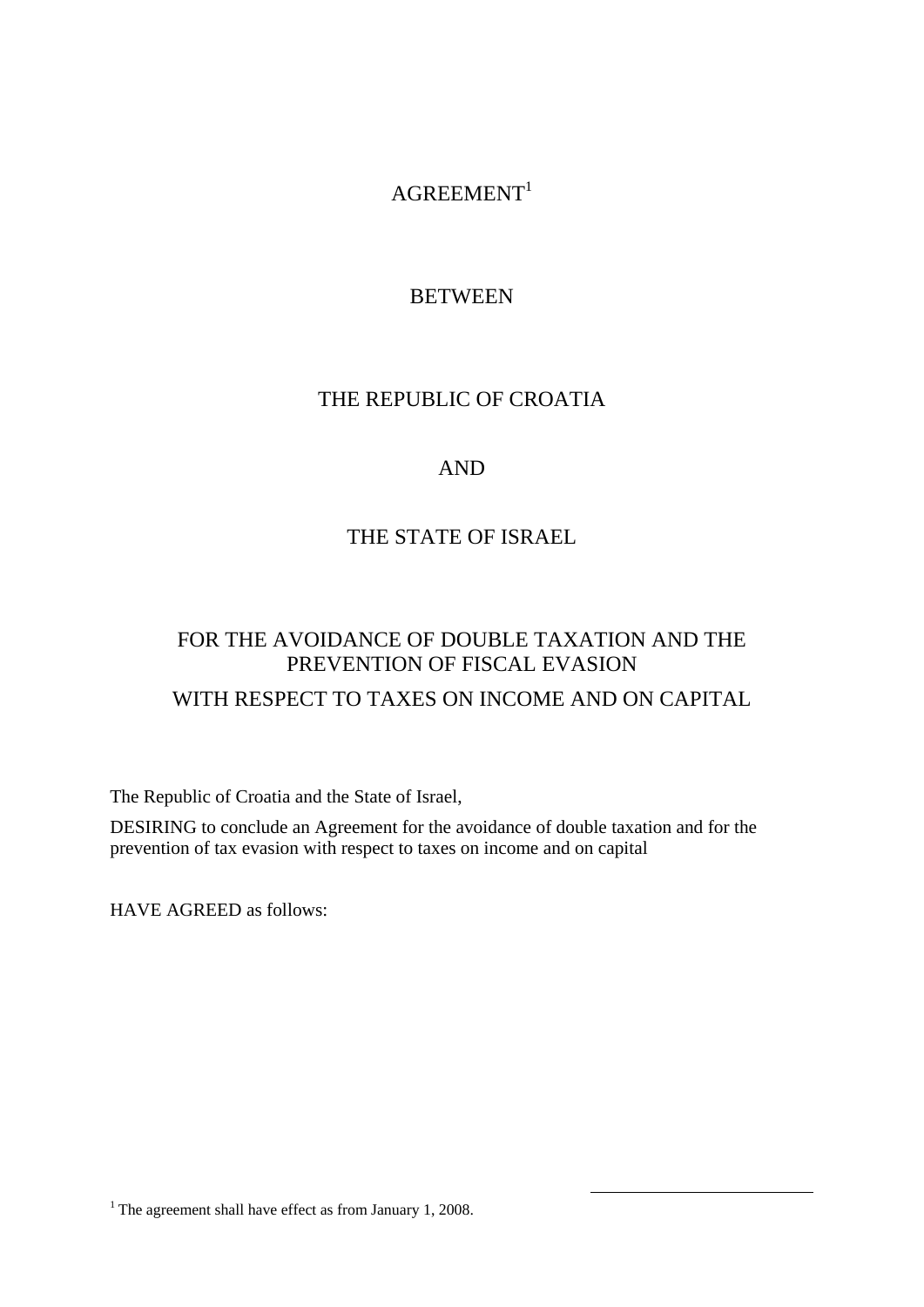$AGREEMENT<sup>1</sup>$ 

# BETWEEN

# THE REPUBLIC OF CROATIA

# AND

# THE STATE OF ISRAEL

# FOR THE AVOIDANCE OF DOUBLE TAXATION AND THE PREVENTION OF FISCAL EVASION WITH RESPECT TO TAXES ON INCOME AND ON CAPITAL

The Republic of Croatia and the State of Israel,

DESIRING to conclude an Agreement for the avoidance of double taxation and for the prevention of tax evasion with respect to taxes on income and on capital

HAVE AGREED as follows:

<sup>1</sup> The agreement shall have effect as from January 1, 2008.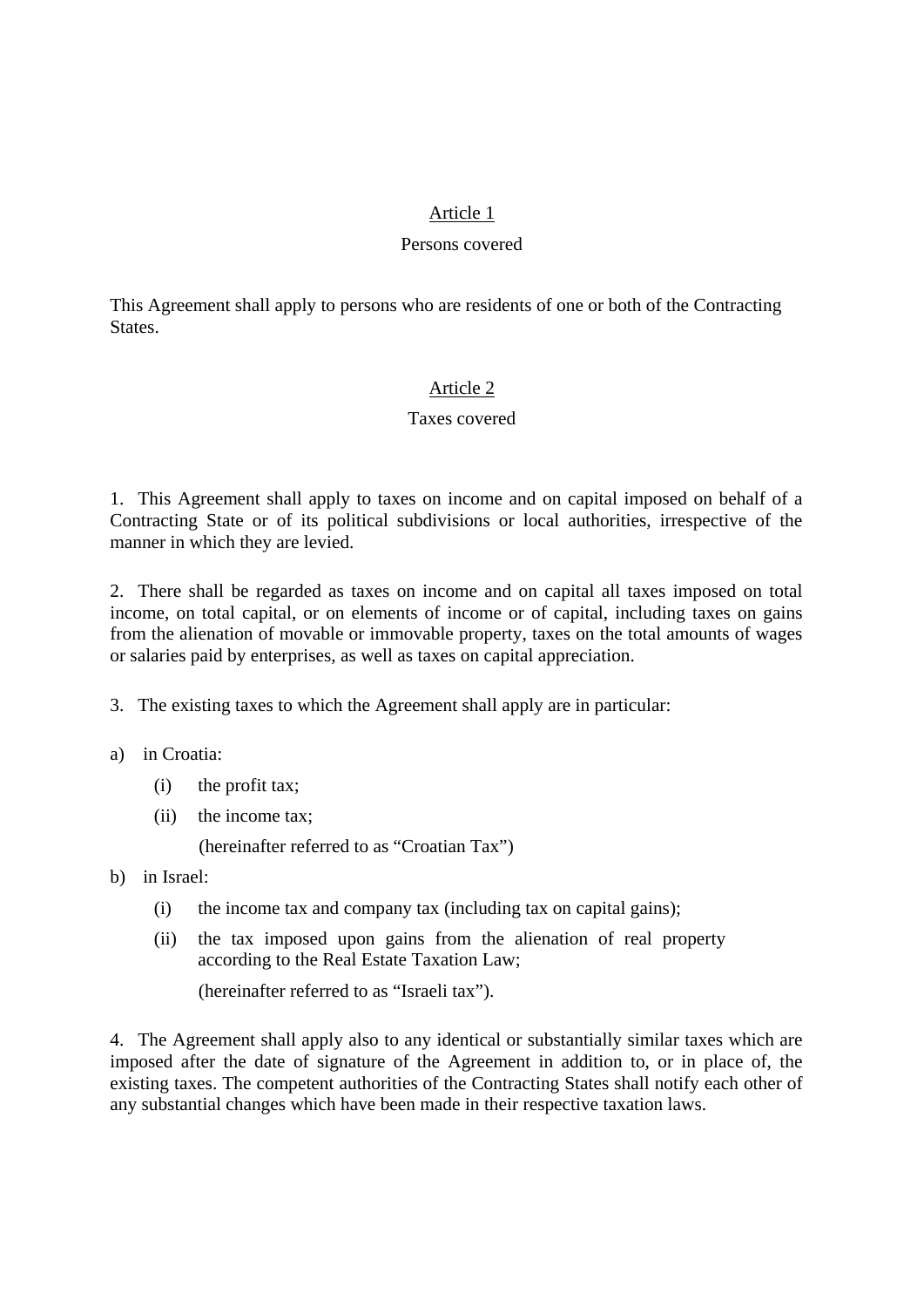### Persons covered

This Agreement shall apply to persons who are residents of one or both of the Contracting States.

# Article 2

# Taxes covered

1. This Agreement shall apply to taxes on income and on capital imposed on behalf of a Contracting State or of its political subdivisions or local authorities, irrespective of the manner in which they are levied.

2. There shall be regarded as taxes on income and on capital all taxes imposed on total income, on total capital, or on elements of income or of capital, including taxes on gains from the alienation of movable or immovable property, taxes on the total amounts of wages or salaries paid by enterprises, as well as taxes on capital appreciation.

3. The existing taxes to which the Agreement shall apply are in particular:

### a) in Croatia:

- (i) the profit tax;
- (ii) the income tax;

(hereinafter referred to as "Croatian Tax")

- b) in Israel:
	- (i) the income tax and company tax (including tax on capital gains);
	- (ii) the tax imposed upon gains from the alienation of real property according to the Real Estate Taxation Law;

(hereinafter referred to as "Israeli tax").

4. The Agreement shall apply also to any identical or substantially similar taxes which are imposed after the date of signature of the Agreement in addition to, or in place of, the existing taxes. The competent authorities of the Contracting States shall notify each other of any substantial changes which have been made in their respective taxation laws.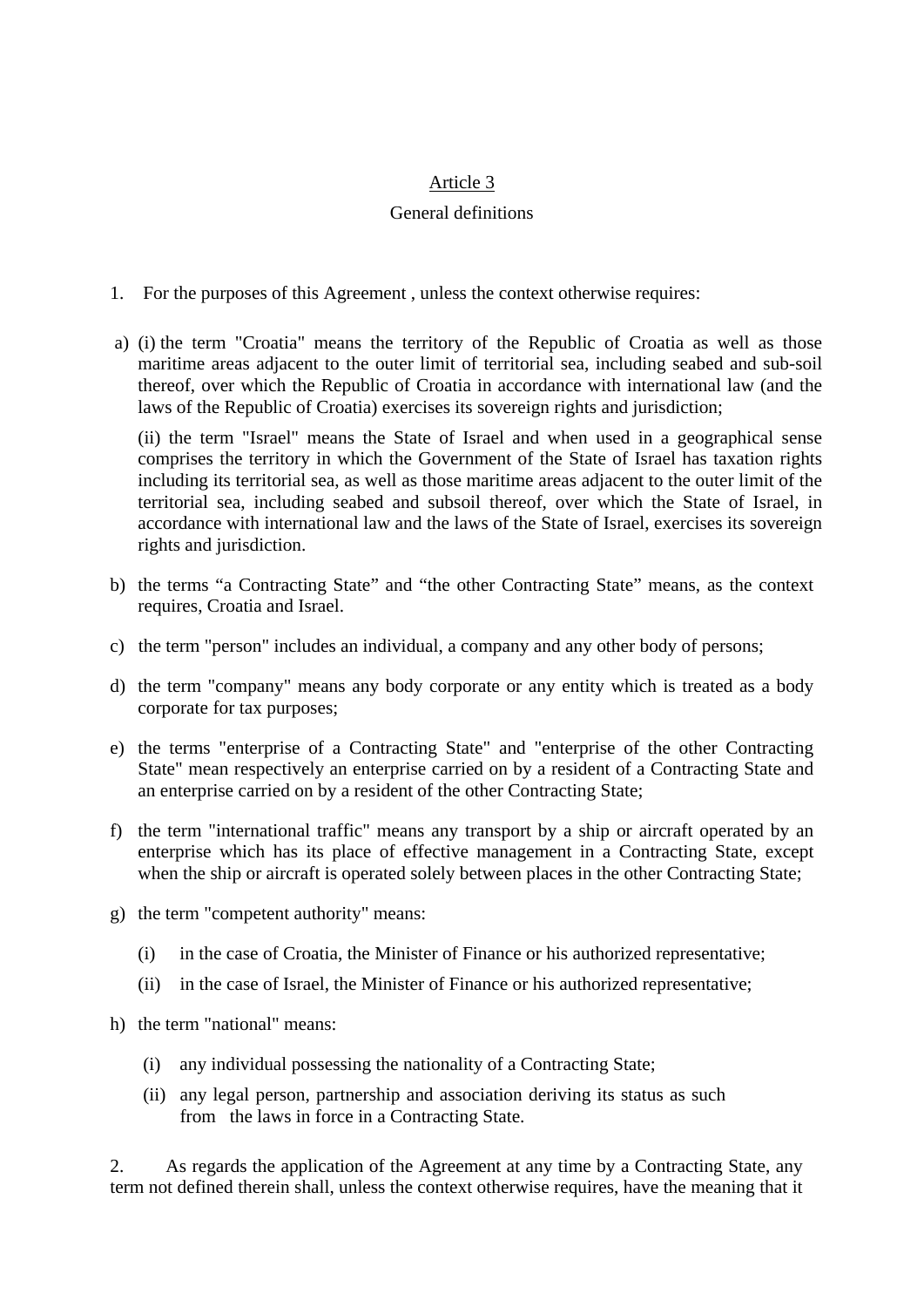### General definitions

- 1. For the purposes of this Agreement , unless the context otherwise requires:
- a) (i) the term "Croatia" means the territory of the Republic of Croatia as well as those maritime areas adjacent to the outer limit of territorial sea, including seabed and sub-soil thereof, over which the Republic of Croatia in accordance with international law (and the laws of the Republic of Croatia) exercises its sovereign rights and jurisdiction;

 (ii) the term "Israel" means the State of Israel and when used in a geographical sense comprises the territory in which the Government of the State of Israel has taxation rights including its territorial sea, as well as those maritime areas adjacent to the outer limit of the territorial sea, including seabed and subsoil thereof, over which the State of Israel, in accordance with international law and the laws of the State of Israel, exercises its sovereign rights and jurisdiction.

- b) the terms "a Contracting State" and "the other Contracting State" means, as the context requires, Croatia and Israel.
- c) the term "person" includes an individual, a company and any other body of persons;
- d) the term "company" means any body corporate or any entity which is treated as a body corporate for tax purposes;
- e) the terms "enterprise of a Contracting State" and "enterprise of the other Contracting State" mean respectively an enterprise carried on by a resident of a Contracting State and an enterprise carried on by a resident of the other Contracting State;
- f) the term "international traffic" means any transport by a ship or aircraft operated by an enterprise which has its place of effective management in a Contracting State, except when the ship or aircraft is operated solely between places in the other Contracting State;
- g) the term "competent authority" means:
	- (i) in the case of Croatia, the Minister of Finance or his authorized representative;
	- (ii) in the case of Israel, the Minister of Finance or his authorized representative;
- h) the term "national" means:
	- (i) any individual possessing the nationality of a Contracting State;
	- (ii) any legal person, partnership and association deriving its status as such from the laws in force in a Contracting State.

2. As regards the application of the Agreement at any time by a Contracting State, any term not defined therein shall, unless the context otherwise requires, have the meaning that it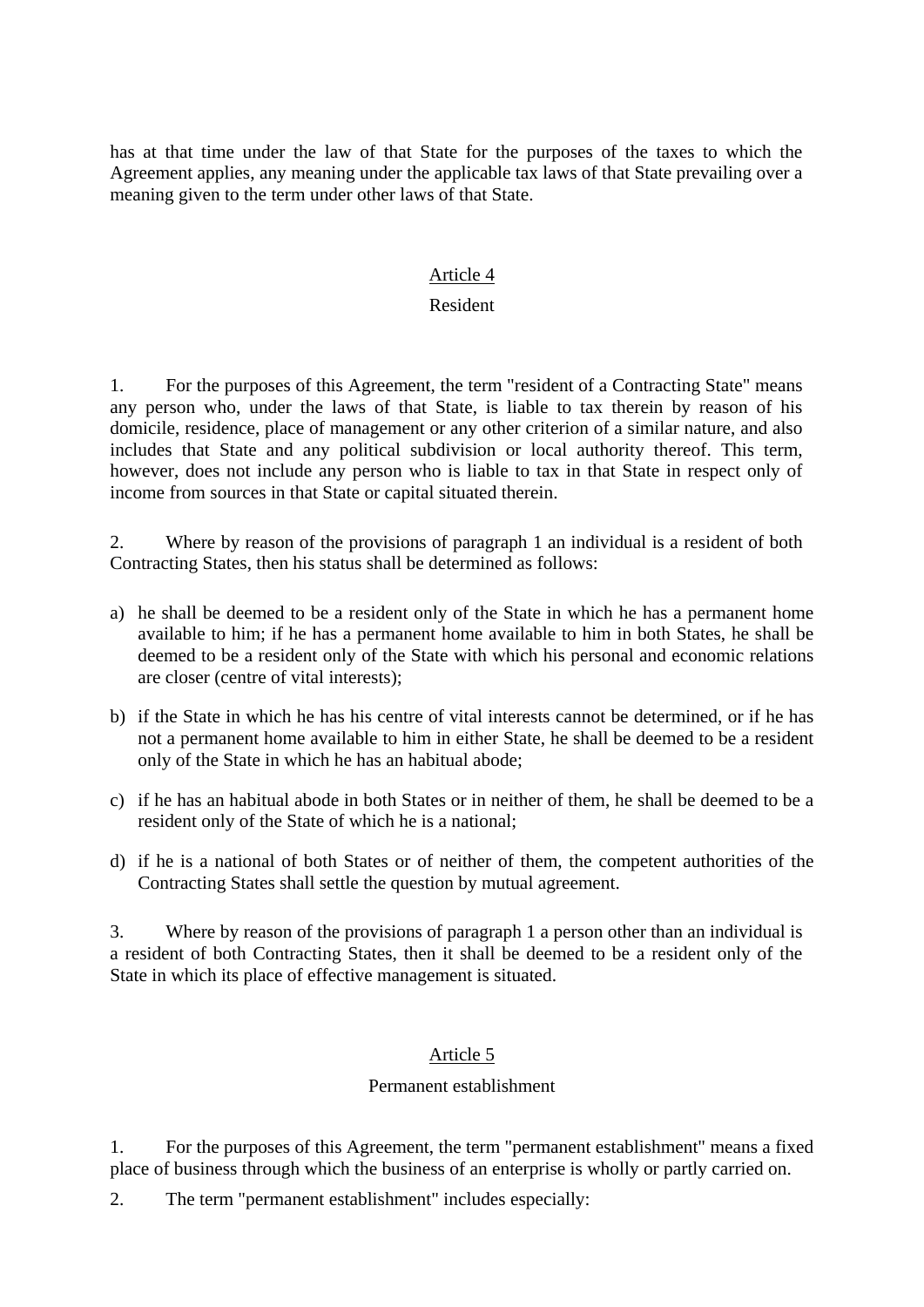has at that time under the law of that State for the purposes of the taxes to which the Agreement applies, any meaning under the applicable tax laws of that State prevailing over a meaning given to the term under other laws of that State.

### Article 4

# Resident

1. For the purposes of this Agreement, the term "resident of a Contracting State" means any person who, under the laws of that State, is liable to tax therein by reason of his domicile, residence, place of management or any other criterion of a similar nature, and also includes that State and any political subdivision or local authority thereof. This term, however, does not include any person who is liable to tax in that State in respect only of income from sources in that State or capital situated therein.

2. Where by reason of the provisions of paragraph 1 an individual is a resident of both Contracting States, then his status shall be determined as follows:

- a) he shall be deemed to be a resident only of the State in which he has a permanent home available to him; if he has a permanent home available to him in both States, he shall be deemed to be a resident only of the State with which his personal and economic relations are closer (centre of vital interests);
- b) if the State in which he has his centre of vital interests cannot be determined, or if he has not a permanent home available to him in either State, he shall be deemed to be a resident only of the State in which he has an habitual abode;
- c) if he has an habitual abode in both States or in neither of them, he shall be deemed to be a resident only of the State of which he is a national;
- d) if he is a national of both States or of neither of them, the competent authorities of the Contracting States shall settle the question by mutual agreement.

3. Where by reason of the provisions of paragraph 1 a person other than an individual is a resident of both Contracting States, then it shall be deemed to be a resident only of the State in which its place of effective management is situated.

### Article 5

### Permanent establishment

1. For the purposes of this Agreement, the term "permanent establishment" means a fixed place of business through which the business of an enterprise is wholly or partly carried on.

2. The term "permanent establishment" includes especially: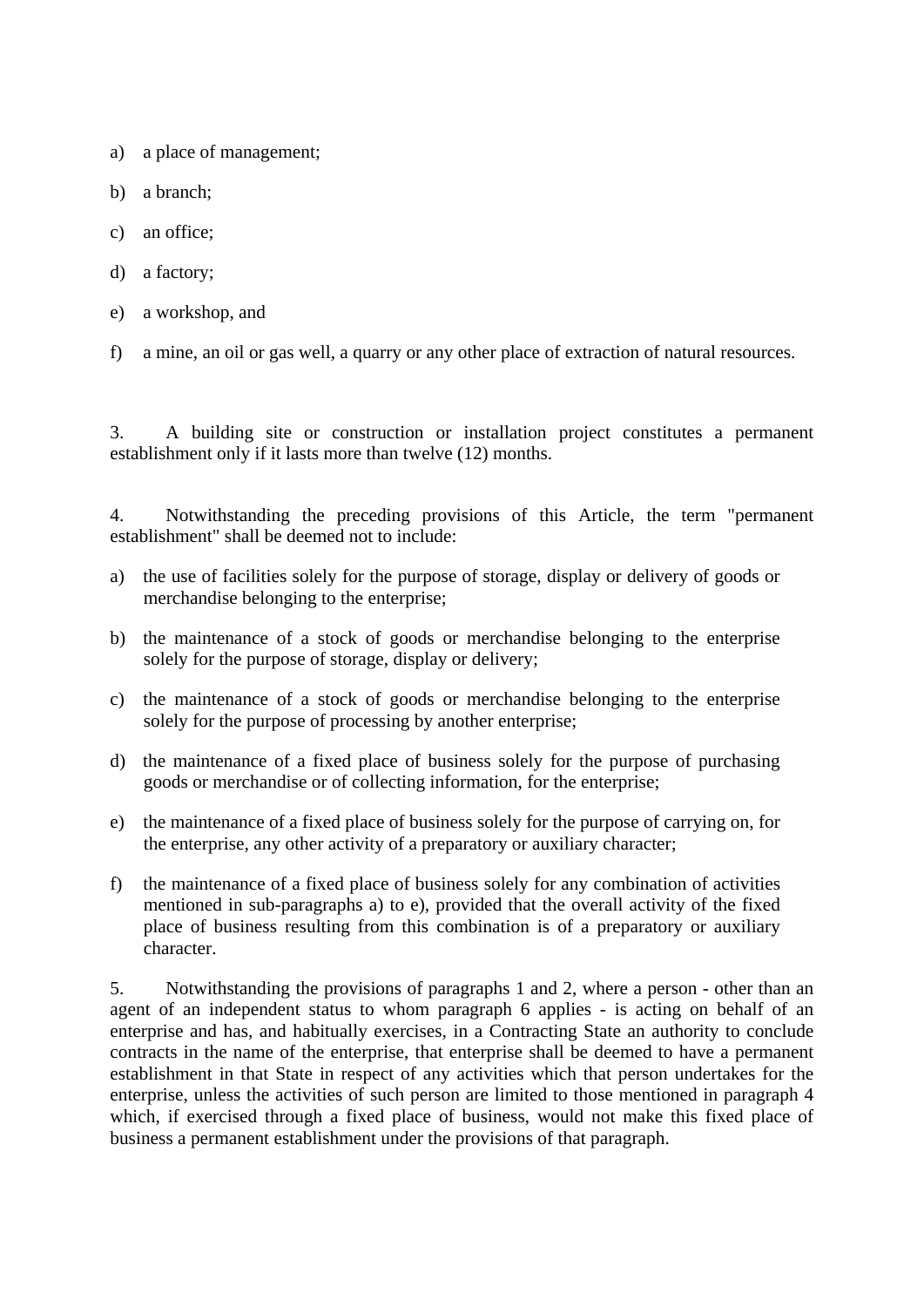a) a place of management;

- b) a branch;
- c) an office;
- d) a factory;
- e) a workshop, and
- f) a mine, an oil or gas well, a quarry or any other place of extraction of natural resources.

3. A building site or construction or installation project constitutes a permanent establishment only if it lasts more than twelve (12) months.

4. Notwithstanding the preceding provisions of this Article, the term "permanent establishment" shall be deemed not to include:

- a) the use of facilities solely for the purpose of storage, display or delivery of goods or merchandise belonging to the enterprise;
- b) the maintenance of a stock of goods or merchandise belonging to the enterprise solely for the purpose of storage, display or delivery;
- c) the maintenance of a stock of goods or merchandise belonging to the enterprise solely for the purpose of processing by another enterprise;
- d) the maintenance of a fixed place of business solely for the purpose of purchasing goods or merchandise or of collecting information, for the enterprise;
- e) the maintenance of a fixed place of business solely for the purpose of carrying on, for the enterprise, any other activity of a preparatory or auxiliary character;
- f) the maintenance of a fixed place of business solely for any combination of activities mentioned in sub-paragraphs a) to e), provided that the overall activity of the fixed place of business resulting from this combination is of a preparatory or auxiliary character.

5. Notwithstanding the provisions of paragraphs 1 and 2, where a person - other than an agent of an independent status to whom paragraph 6 applies - is acting on behalf of an enterprise and has, and habitually exercises, in a Contracting State an authority to conclude contracts in the name of the enterprise, that enterprise shall be deemed to have a permanent establishment in that State in respect of any activities which that person undertakes for the enterprise, unless the activities of such person are limited to those mentioned in paragraph 4 which, if exercised through a fixed place of business, would not make this fixed place of business a permanent establishment under the provisions of that paragraph.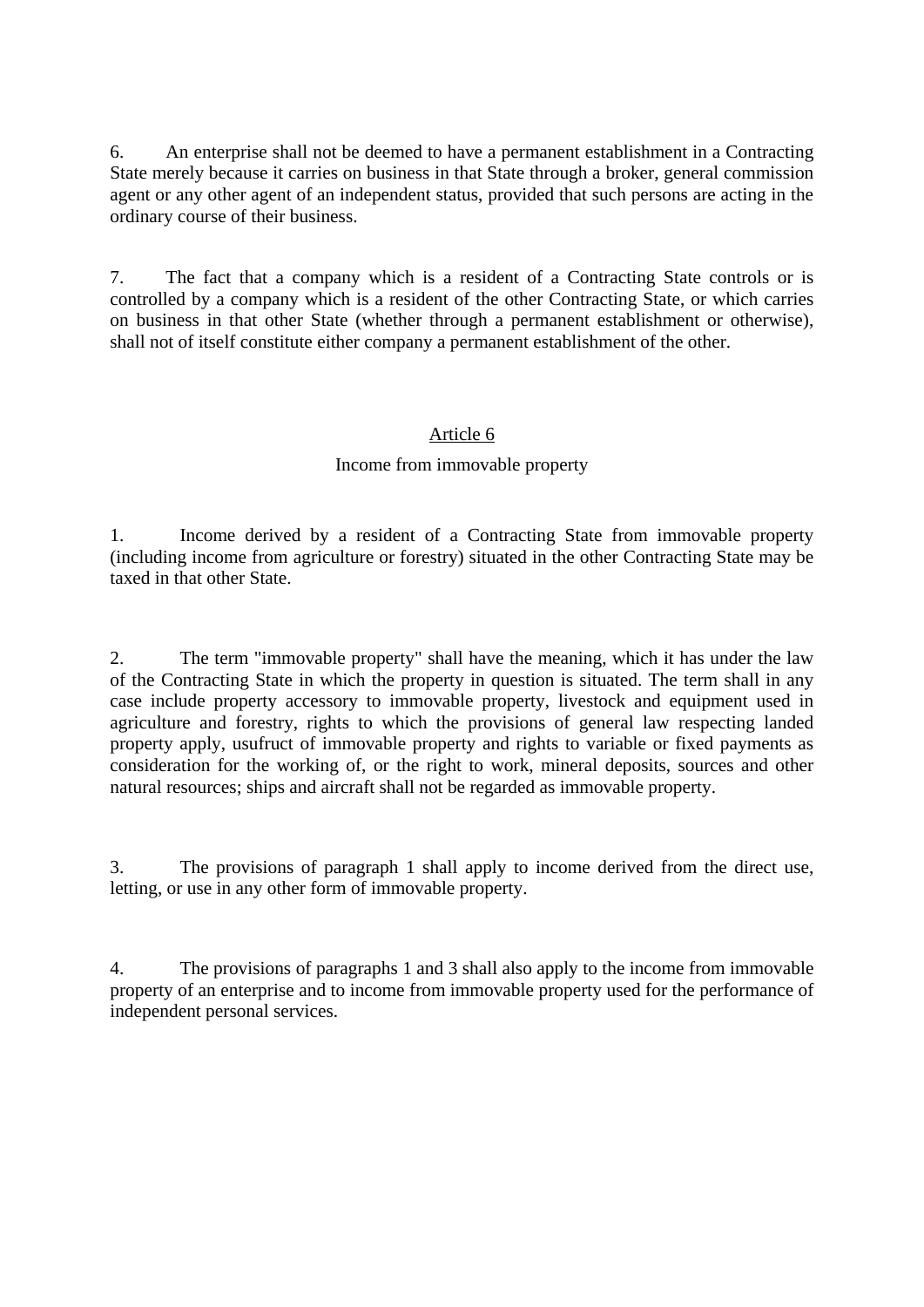6. An enterprise shall not be deemed to have a permanent establishment in a Contracting State merely because it carries on business in that State through a broker, general commission agent or any other agent of an independent status, provided that such persons are acting in the ordinary course of their business.

7. The fact that a company which is a resident of a Contracting State controls or is controlled by a company which is a resident of the other Contracting State, or which carries on business in that other State (whether through a permanent establishment or otherwise), shall not of itself constitute either company a permanent establishment of the other.

# Article 6

# Income from immovable property

1. Income derived by a resident of a Contracting State from immovable property (including income from agriculture or forestry) situated in the other Contracting State may be taxed in that other State.

2. The term "immovable property" shall have the meaning, which it has under the law of the Contracting State in which the property in question is situated. The term shall in any case include property accessory to immovable property, livestock and equipment used in agriculture and forestry, rights to which the provisions of general law respecting landed property apply, usufruct of immovable property and rights to variable or fixed payments as consideration for the working of, or the right to work, mineral deposits, sources and other natural resources; ships and aircraft shall not be regarded as immovable property.

3. The provisions of paragraph 1 shall apply to income derived from the direct use, letting, or use in any other form of immovable property.

4. The provisions of paragraphs 1 and 3 shall also apply to the income from immovable property of an enterprise and to income from immovable property used for the performance of independent personal services.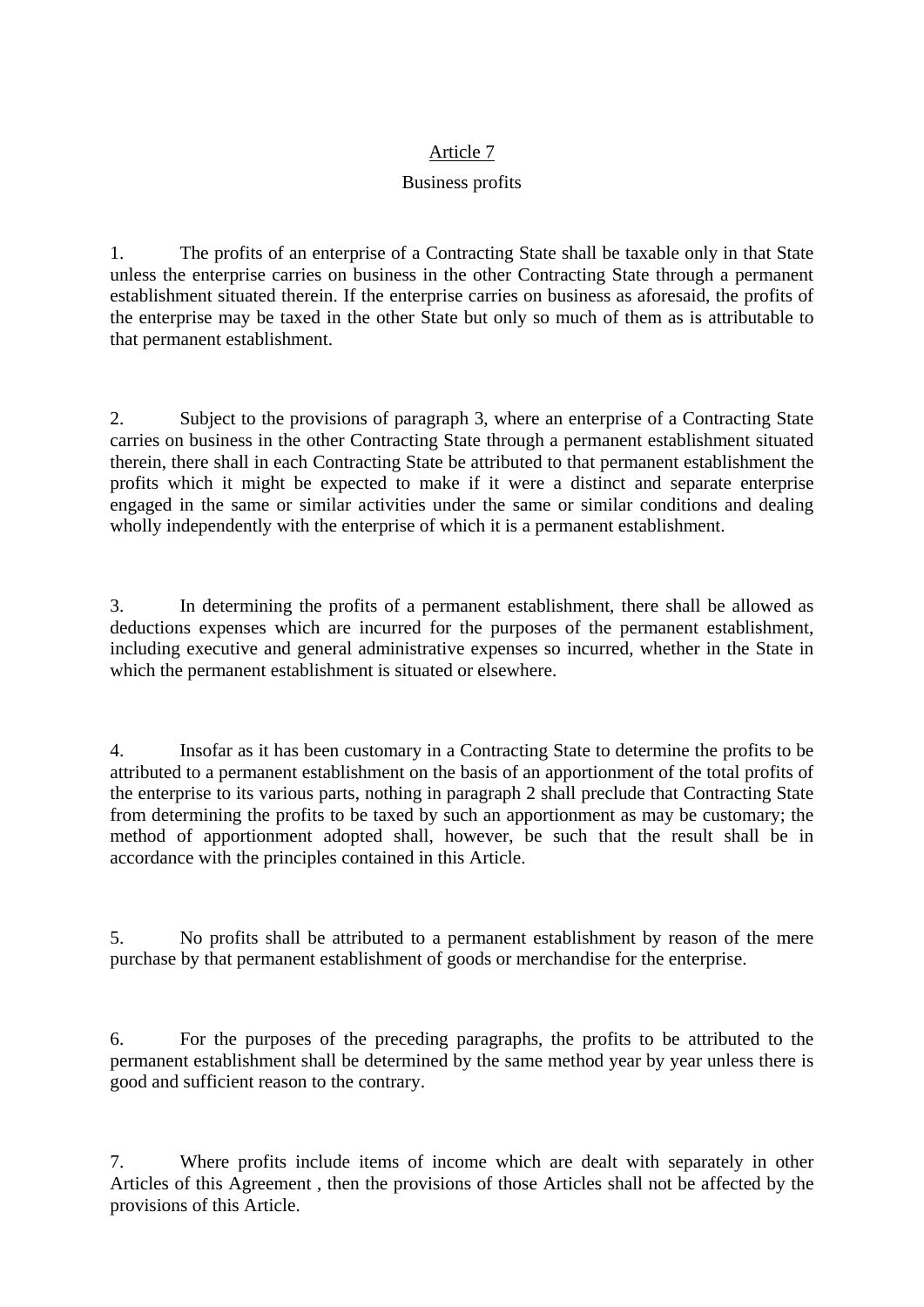# Business profits

1. The profits of an enterprise of a Contracting State shall be taxable only in that State unless the enterprise carries on business in the other Contracting State through a permanent establishment situated therein. If the enterprise carries on business as aforesaid, the profits of the enterprise may be taxed in the other State but only so much of them as is attributable to that permanent establishment.

2. Subject to the provisions of paragraph 3, where an enterprise of a Contracting State carries on business in the other Contracting State through a permanent establishment situated therein, there shall in each Contracting State be attributed to that permanent establishment the profits which it might be expected to make if it were a distinct and separate enterprise engaged in the same or similar activities under the same or similar conditions and dealing wholly independently with the enterprise of which it is a permanent establishment.

3. In determining the profits of a permanent establishment, there shall be allowed as deductions expenses which are incurred for the purposes of the permanent establishment, including executive and general administrative expenses so incurred, whether in the State in which the permanent establishment is situated or elsewhere.

4. Insofar as it has been customary in a Contracting State to determine the profits to be attributed to a permanent establishment on the basis of an apportionment of the total profits of the enterprise to its various parts, nothing in paragraph 2 shall preclude that Contracting State from determining the profits to be taxed by such an apportionment as may be customary; the method of apportionment adopted shall, however, be such that the result shall be in accordance with the principles contained in this Article.

5. No profits shall be attributed to a permanent establishment by reason of the mere purchase by that permanent establishment of goods or merchandise for the enterprise.

6. For the purposes of the preceding paragraphs, the profits to be attributed to the permanent establishment shall be determined by the same method year by year unless there is good and sufficient reason to the contrary.

7. Where profits include items of income which are dealt with separately in other Articles of this Agreement , then the provisions of those Articles shall not be affected by the provisions of this Article.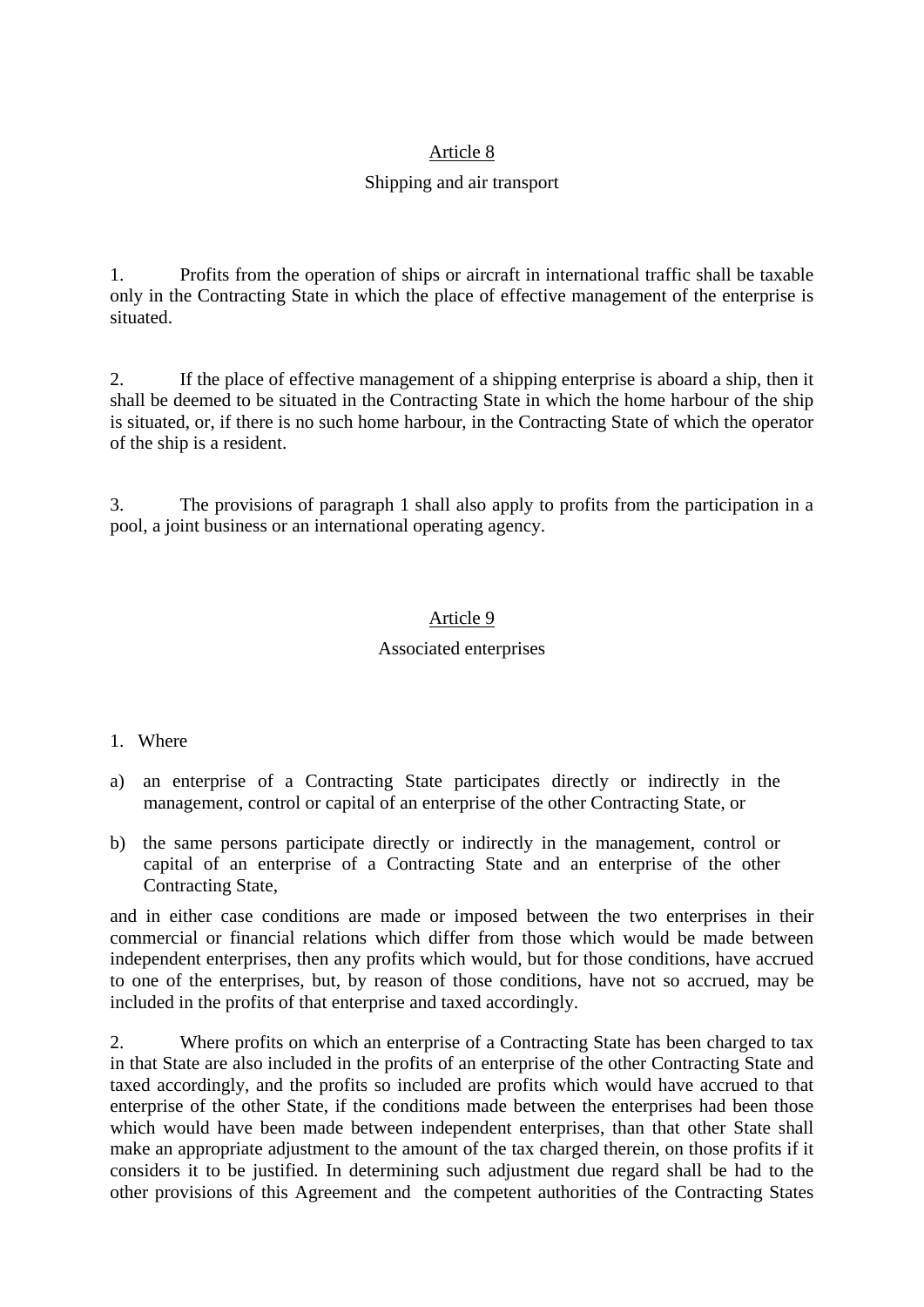# Shipping and air transport

1. Profits from the operation of ships or aircraft in international traffic shall be taxable only in the Contracting State in which the place of effective management of the enterprise is situated.

2. If the place of effective management of a shipping enterprise is aboard a ship, then it shall be deemed to be situated in the Contracting State in which the home harbour of the ship is situated, or, if there is no such home harbour, in the Contracting State of which the operator of the ship is a resident.

3. The provisions of paragraph 1 shall also apply to profits from the participation in a pool, a joint business or an international operating agency.

# Article 9

# Associated enterprises

# 1. Where

- a) an enterprise of a Contracting State participates directly or indirectly in the management, control or capital of an enterprise of the other Contracting State, or
- b) the same persons participate directly or indirectly in the management, control or capital of an enterprise of a Contracting State and an enterprise of the other Contracting State,

and in either case conditions are made or imposed between the two enterprises in their commercial or financial relations which differ from those which would be made between independent enterprises, then any profits which would, but for those conditions, have accrued to one of the enterprises, but, by reason of those conditions, have not so accrued, may be included in the profits of that enterprise and taxed accordingly.

2. Where profits on which an enterprise of a Contracting State has been charged to tax in that State are also included in the profits of an enterprise of the other Contracting State and taxed accordingly, and the profits so included are profits which would have accrued to that enterprise of the other State, if the conditions made between the enterprises had been those which would have been made between independent enterprises, than that other State shall make an appropriate adjustment to the amount of the tax charged therein, on those profits if it considers it to be justified. In determining such adjustment due regard shall be had to the other provisions of this Agreement and the competent authorities of the Contracting States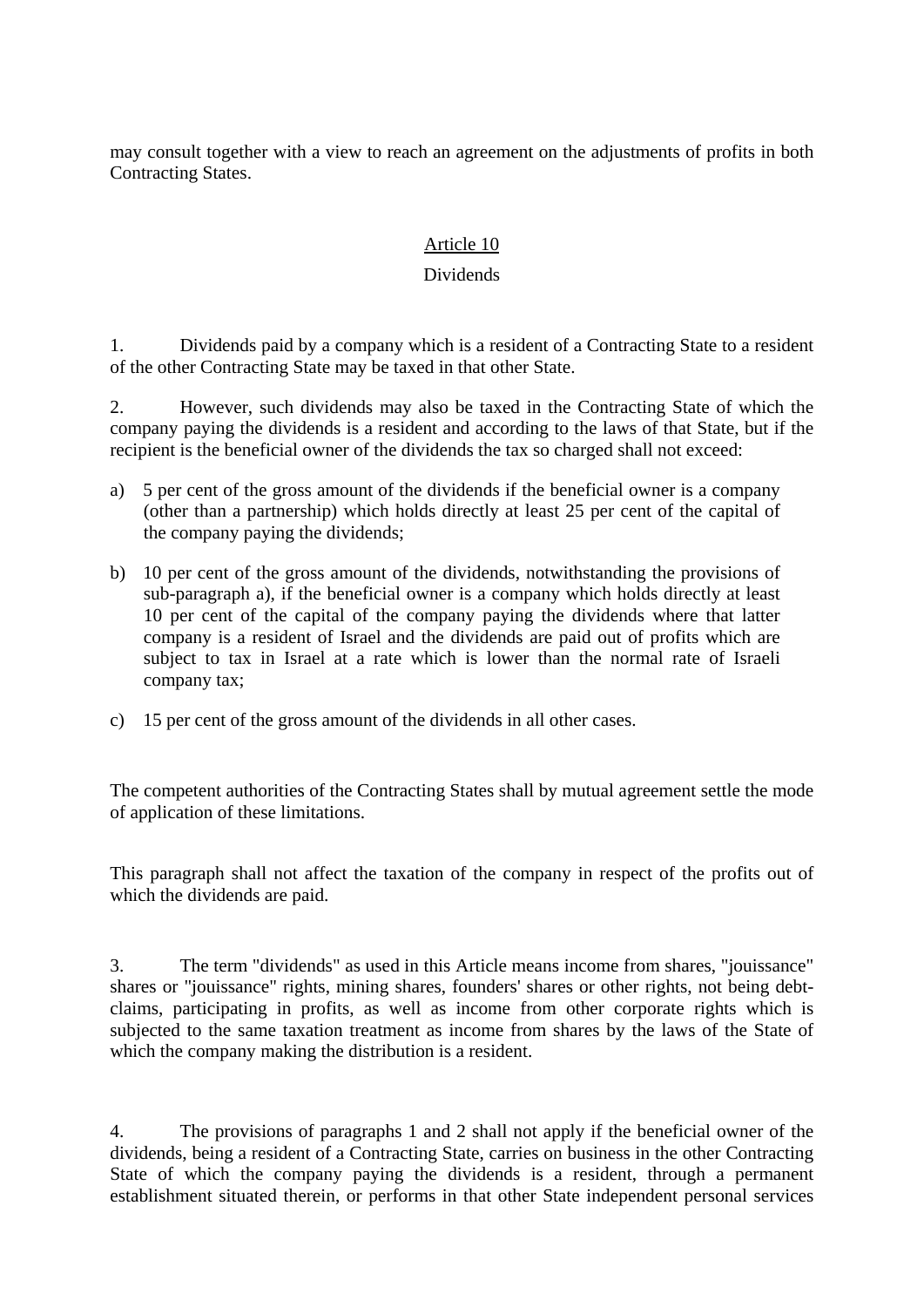may consult together with a view to reach an agreement on the adjustments of profits in both Contracting States.

# Article 10

# **Dividends**

1. Dividends paid by a company which is a resident of a Contracting State to a resident of the other Contracting State may be taxed in that other State.

2. However, such dividends may also be taxed in the Contracting State of which the company paying the dividends is a resident and according to the laws of that State, but if the recipient is the beneficial owner of the dividends the tax so charged shall not exceed:

- a) 5 per cent of the gross amount of the dividends if the beneficial owner is a company (other than a partnership) which holds directly at least 25 per cent of the capital of the company paying the dividends;
- b) 10 per cent of the gross amount of the dividends, notwithstanding the provisions of sub-paragraph a), if the beneficial owner is a company which holds directly at least 10 per cent of the capital of the company paying the dividends where that latter company is a resident of Israel and the dividends are paid out of profits which are subject to tax in Israel at a rate which is lower than the normal rate of Israeli company tax;
- c) 15 per cent of the gross amount of the dividends in all other cases.

The competent authorities of the Contracting States shall by mutual agreement settle the mode of application of these limitations.

This paragraph shall not affect the taxation of the company in respect of the profits out of which the dividends are paid.

3. The term "dividends" as used in this Article means income from shares, "jouissance" shares or "jouissance" rights, mining shares, founders' shares or other rights, not being debtclaims, participating in profits, as well as income from other corporate rights which is subjected to the same taxation treatment as income from shares by the laws of the State of which the company making the distribution is a resident.

4. The provisions of paragraphs 1 and 2 shall not apply if the beneficial owner of the dividends, being a resident of a Contracting State, carries on business in the other Contracting State of which the company paying the dividends is a resident, through a permanent establishment situated therein, or performs in that other State independent personal services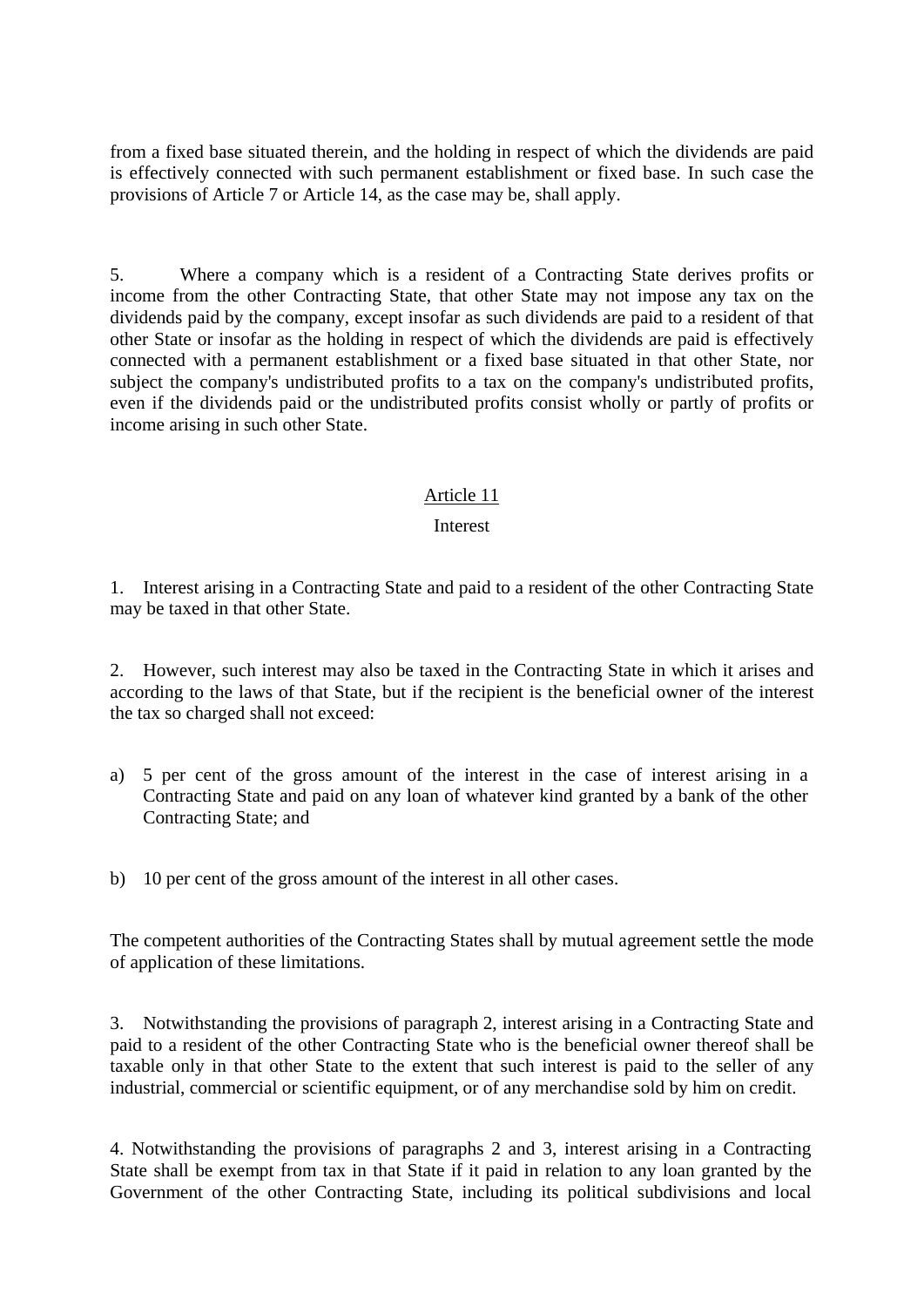from a fixed base situated therein, and the holding in respect of which the dividends are paid is effectively connected with such permanent establishment or fixed base. In such case the provisions of Article 7 or Article 14, as the case may be, shall apply.

5. Where a company which is a resident of a Contracting State derives profits or income from the other Contracting State, that other State may not impose any tax on the dividends paid by the company, except insofar as such dividends are paid to a resident of that other State or insofar as the holding in respect of which the dividends are paid is effectively connected with a permanent establishment or a fixed base situated in that other State, nor subject the company's undistributed profits to a tax on the company's undistributed profits, even if the dividends paid or the undistributed profits consist wholly or partly of profits or income arising in such other State.

# Article 11

# Interest

1. Interest arising in a Contracting State and paid to a resident of the other Contracting State may be taxed in that other State.

2. However, such interest may also be taxed in the Contracting State in which it arises and according to the laws of that State, but if the recipient is the beneficial owner of the interest the tax so charged shall not exceed:

- a) 5 per cent of the gross amount of the interest in the case of interest arising in a Contracting State and paid on any loan of whatever kind granted by a bank of the other Contracting State; and
- b) 10 per cent of the gross amount of the interest in all other cases.

The competent authorities of the Contracting States shall by mutual agreement settle the mode of application of these limitations.

3. Notwithstanding the provisions of paragraph 2, interest arising in a Contracting State and paid to a resident of the other Contracting State who is the beneficial owner thereof shall be taxable only in that other State to the extent that such interest is paid to the seller of any industrial, commercial or scientific equipment, or of any merchandise sold by him on credit.

4. Notwithstanding the provisions of paragraphs 2 and 3, interest arising in a Contracting State shall be exempt from tax in that State if it paid in relation to any loan granted by the Government of the other Contracting State, including its political subdivisions and local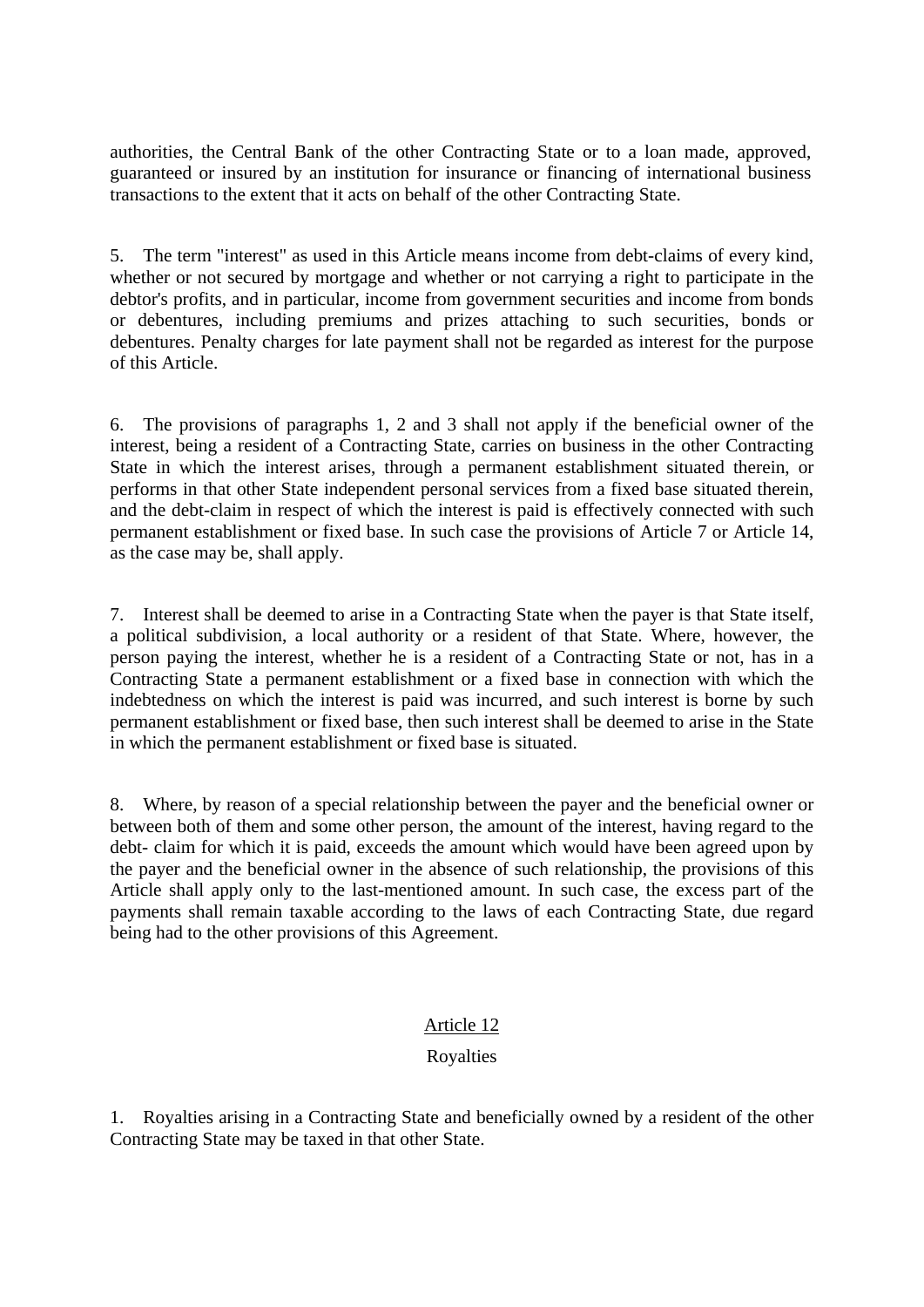authorities, the Central Bank of the other Contracting State or to a loan made, approved, guaranteed or insured by an institution for insurance or financing of international business transactions to the extent that it acts on behalf of the other Contracting State.

5. The term "interest" as used in this Article means income from debt-claims of every kind, whether or not secured by mortgage and whether or not carrying a right to participate in the debtor's profits, and in particular, income from government securities and income from bonds or debentures, including premiums and prizes attaching to such securities, bonds or debentures. Penalty charges for late payment shall not be regarded as interest for the purpose of this Article.

6. The provisions of paragraphs 1, 2 and 3 shall not apply if the beneficial owner of the interest, being a resident of a Contracting State, carries on business in the other Contracting State in which the interest arises, through a permanent establishment situated therein, or performs in that other State independent personal services from a fixed base situated therein, and the debt-claim in respect of which the interest is paid is effectively connected with such permanent establishment or fixed base. In such case the provisions of Article 7 or Article 14, as the case may be, shall apply.

7. Interest shall be deemed to arise in a Contracting State when the payer is that State itself, a political subdivision, a local authority or a resident of that State. Where, however, the person paying the interest, whether he is a resident of a Contracting State or not, has in a Contracting State a permanent establishment or a fixed base in connection with which the indebtedness on which the interest is paid was incurred, and such interest is borne by such permanent establishment or fixed base, then such interest shall be deemed to arise in the State in which the permanent establishment or fixed base is situated.

8. Where, by reason of a special relationship between the payer and the beneficial owner or between both of them and some other person, the amount of the interest, having regard to the debt- claim for which it is paid, exceeds the amount which would have been agreed upon by the payer and the beneficial owner in the absence of such relationship, the provisions of this Article shall apply only to the last-mentioned amount. In such case, the excess part of the payments shall remain taxable according to the laws of each Contracting State, due regard being had to the other provisions of this Agreement.

# Article 12

# Royalties

1. Royalties arising in a Contracting State and beneficially owned by a resident of the other Contracting State may be taxed in that other State.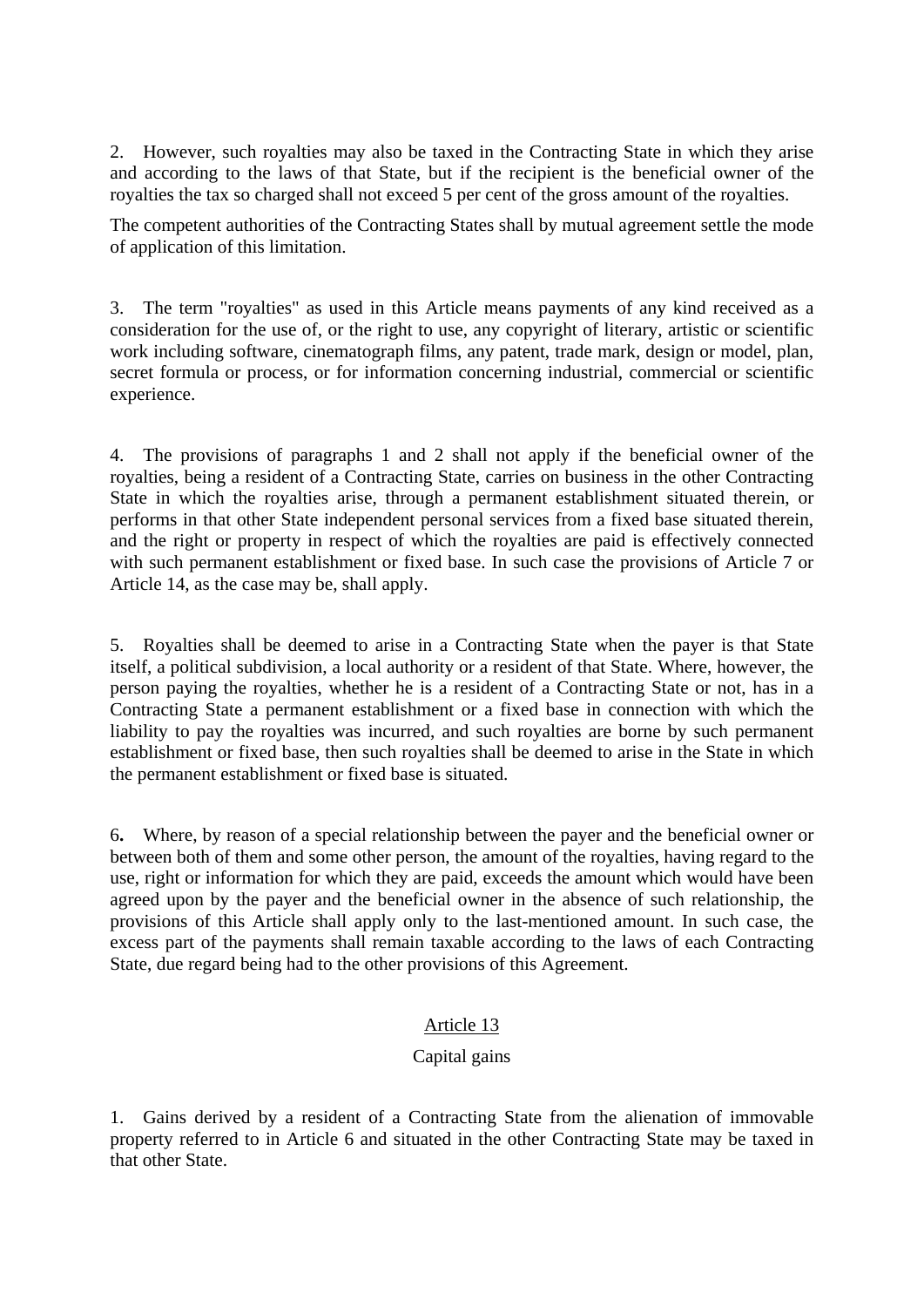2. However, such royalties may also be taxed in the Contracting State in which they arise and according to the laws of that State, but if the recipient is the beneficial owner of the royalties the tax so charged shall not exceed 5 per cent of the gross amount of the royalties.

The competent authorities of the Contracting States shall by mutual agreement settle the mode of application of this limitation.

3. The term "royalties" as used in this Article means payments of any kind received as a consideration for the use of, or the right to use, any copyright of literary, artistic or scientific work including software, cinematograph films, any patent, trade mark, design or model, plan, secret formula or process, or for information concerning industrial, commercial or scientific experience.

4. The provisions of paragraphs 1 and 2 shall not apply if the beneficial owner of the royalties, being a resident of a Contracting State, carries on business in the other Contracting State in which the royalties arise, through a permanent establishment situated therein, or performs in that other State independent personal services from a fixed base situated therein, and the right or property in respect of which the royalties are paid is effectively connected with such permanent establishment or fixed base. In such case the provisions of Article 7 or Article 14, as the case may be, shall apply.

5. Royalties shall be deemed to arise in a Contracting State when the payer is that State itself, a political subdivision, a local authority or a resident of that State. Where, however, the person paying the royalties, whether he is a resident of a Contracting State or not, has in a Contracting State a permanent establishment or a fixed base in connection with which the liability to pay the royalties was incurred, and such royalties are borne by such permanent establishment or fixed base, then such royalties shall be deemed to arise in the State in which the permanent establishment or fixed base is situated.

6**.** Where, by reason of a special relationship between the payer and the beneficial owner or between both of them and some other person, the amount of the royalties, having regard to the use, right or information for which they are paid, exceeds the amount which would have been agreed upon by the payer and the beneficial owner in the absence of such relationship, the provisions of this Article shall apply only to the last-mentioned amount. In such case, the excess part of the payments shall remain taxable according to the laws of each Contracting State, due regard being had to the other provisions of this Agreement.

# Article 13

# Capital gains

1. Gains derived by a resident of a Contracting State from the alienation of immovable property referred to in Article 6 and situated in the other Contracting State may be taxed in that other State.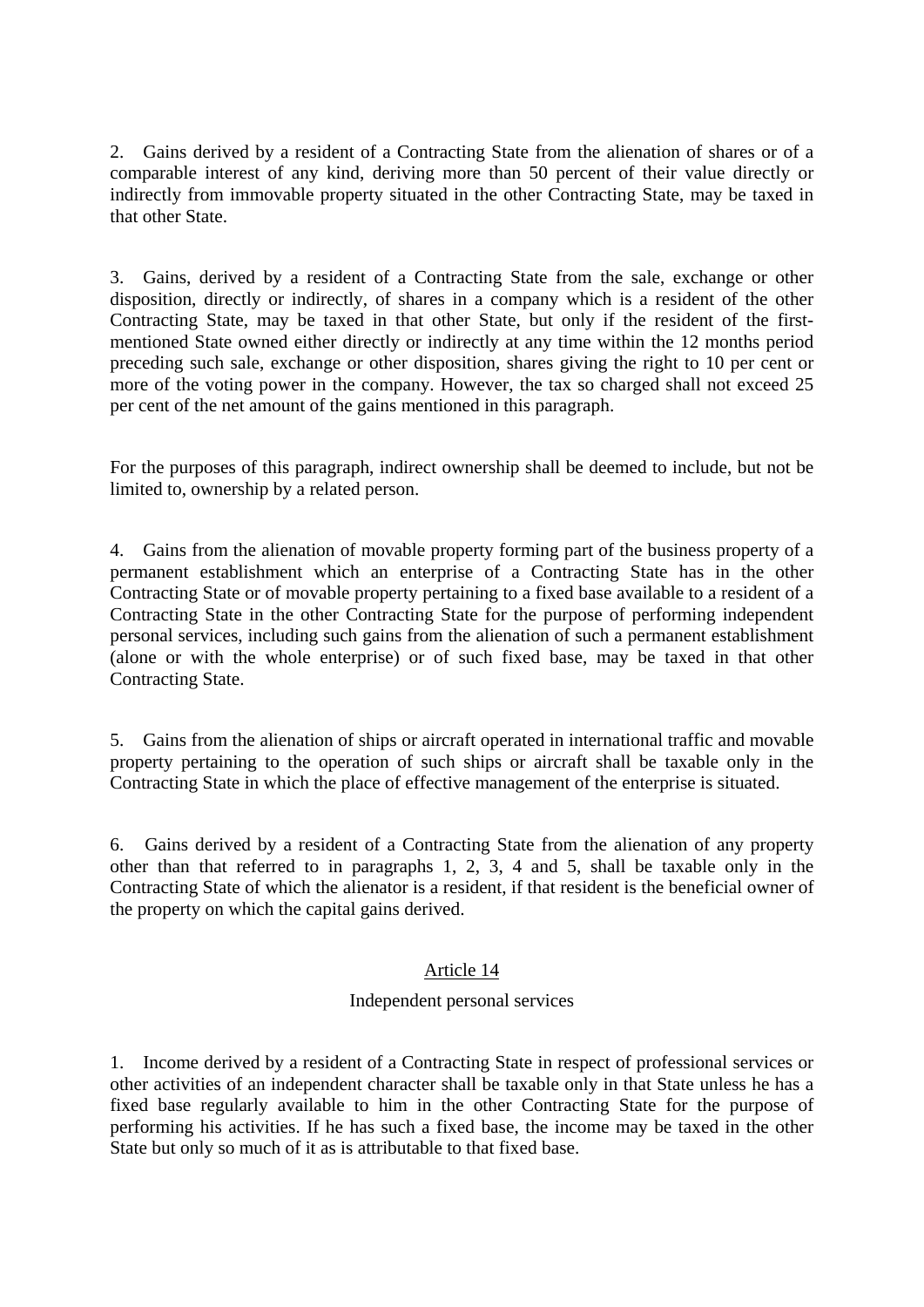2. Gains derived by a resident of a Contracting State from the alienation of shares or of a comparable interest of any kind, deriving more than 50 percent of their value directly or indirectly from immovable property situated in the other Contracting State, may be taxed in that other State.

3. Gains, derived by a resident of a Contracting State from the sale, exchange or other disposition, directly or indirectly, of shares in a company which is a resident of the other Contracting State, may be taxed in that other State, but only if the resident of the firstmentioned State owned either directly or indirectly at any time within the 12 months period preceding such sale, exchange or other disposition, shares giving the right to 10 per cent or more of the voting power in the company. However, the tax so charged shall not exceed 25 per cent of the net amount of the gains mentioned in this paragraph.

For the purposes of this paragraph, indirect ownership shall be deemed to include, but not be limited to, ownership by a related person.

4. Gains from the alienation of movable property forming part of the business property of a permanent establishment which an enterprise of a Contracting State has in the other Contracting State or of movable property pertaining to a fixed base available to a resident of a Contracting State in the other Contracting State for the purpose of performing independent personal services, including such gains from the alienation of such a permanent establishment (alone or with the whole enterprise) or of such fixed base, may be taxed in that other Contracting State.

5. Gains from the alienation of ships or aircraft operated in international traffic and movable property pertaining to the operation of such ships or aircraft shall be taxable only in the Contracting State in which the place of effective management of the enterprise is situated.

6. Gains derived by a resident of a Contracting State from the alienation of any property other than that referred to in paragraphs 1, 2, 3, 4 and 5, shall be taxable only in the Contracting State of which the alienator is a resident, if that resident is the beneficial owner of the property on which the capital gains derived.

# Article 14

### Independent personal services

1. Income derived by a resident of a Contracting State in respect of professional services or other activities of an independent character shall be taxable only in that State unless he has a fixed base regularly available to him in the other Contracting State for the purpose of performing his activities. If he has such a fixed base, the income may be taxed in the other State but only so much of it as is attributable to that fixed base.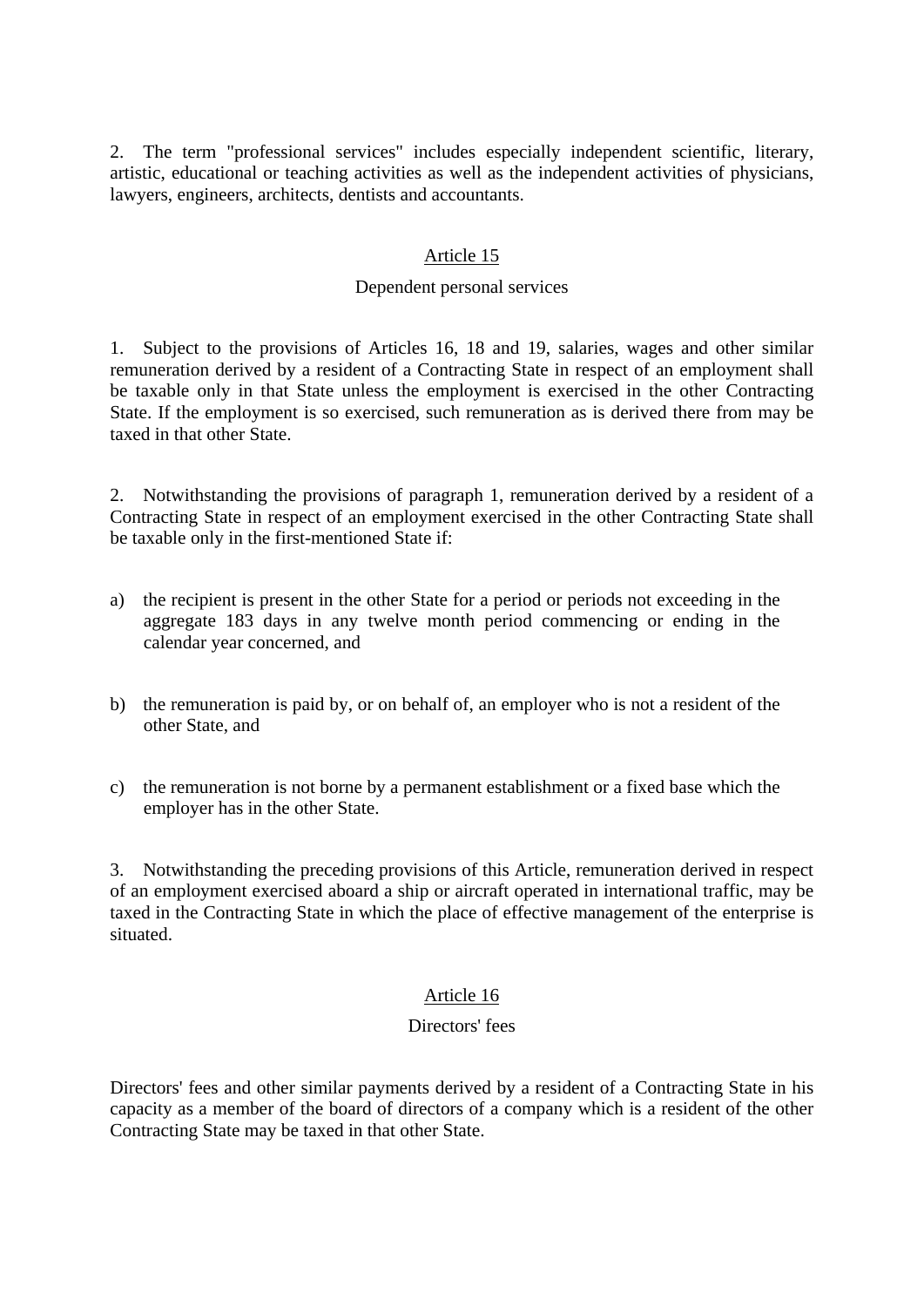2. The term "professional services" includes especially independent scientific, literary, artistic, educational or teaching activities as well as the independent activities of physicians, lawyers, engineers, architects, dentists and accountants.

### Article 15

### Dependent personal services

1. Subject to the provisions of Articles 16, 18 and 19, salaries, wages and other similar remuneration derived by a resident of a Contracting State in respect of an employment shall be taxable only in that State unless the employment is exercised in the other Contracting State. If the employment is so exercised, such remuneration as is derived there from may be taxed in that other State.

2. Notwithstanding the provisions of paragraph 1, remuneration derived by a resident of a Contracting State in respect of an employment exercised in the other Contracting State shall be taxable only in the first-mentioned State if:

- a) the recipient is present in the other State for a period or periods not exceeding in the aggregate 183 days in any twelve month period commencing or ending in the calendar year concerned, and
- b) the remuneration is paid by, or on behalf of, an employer who is not a resident of the other State, and
- c) the remuneration is not borne by a permanent establishment or a fixed base which the employer has in the other State.

3. Notwithstanding the preceding provisions of this Article, remuneration derived in respect of an employment exercised aboard a ship or aircraft operated in international traffic, may be taxed in the Contracting State in which the place of effective management of the enterprise is situated.

### Article 16

#### Directors' fees

Directors' fees and other similar payments derived by a resident of a Contracting State in his capacity as a member of the board of directors of a company which is a resident of the other Contracting State may be taxed in that other State.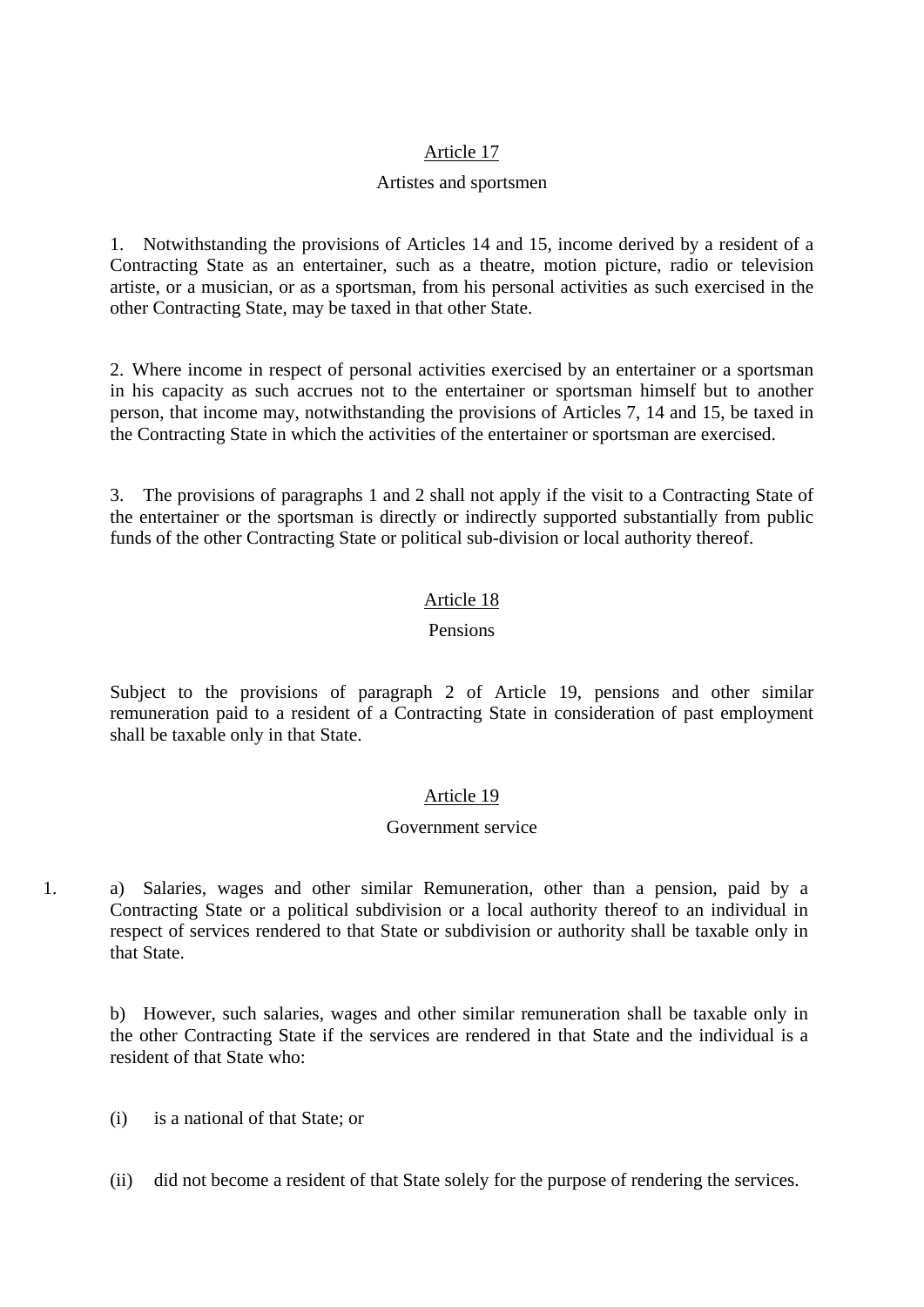# Artistes and sportsmen

1. Notwithstanding the provisions of Articles 14 and 15, income derived by a resident of a Contracting State as an entertainer, such as a theatre, motion picture, radio or television artiste, or a musician, or as a sportsman, from his personal activities as such exercised in the other Contracting State, may be taxed in that other State.

2. Where income in respect of personal activities exercised by an entertainer or a sportsman in his capacity as such accrues not to the entertainer or sportsman himself but to another person, that income may, notwithstanding the provisions of Articles 7, 14 and 15, be taxed in the Contracting State in which the activities of the entertainer or sportsman are exercised.

3. The provisions of paragraphs 1 and 2 shall not apply if the visit to a Contracting State of the entertainer or the sportsman is directly or indirectly supported substantially from public funds of the other Contracting State or political sub-division or local authority thereof.

# Article 18

# Pensions

Subject to the provisions of paragraph 2 of Article 19, pensions and other similar remuneration paid to a resident of a Contracting State in consideration of past employment shall be taxable only in that State.

# Article 19

### Government service

1. a) Salaries, wages and other similar Remuneration, other than a pension, paid by a Contracting State or a political subdivision or a local authority thereof to an individual in respect of services rendered to that State or subdivision or authority shall be taxable only in that State.

 b) However, such salaries, wages and other similar remuneration shall be taxable only in the other Contracting State if the services are rendered in that State and the individual is a resident of that State who:

- (i) is a national of that State; or
- (ii) did not become a resident of that State solely for the purpose of rendering the services.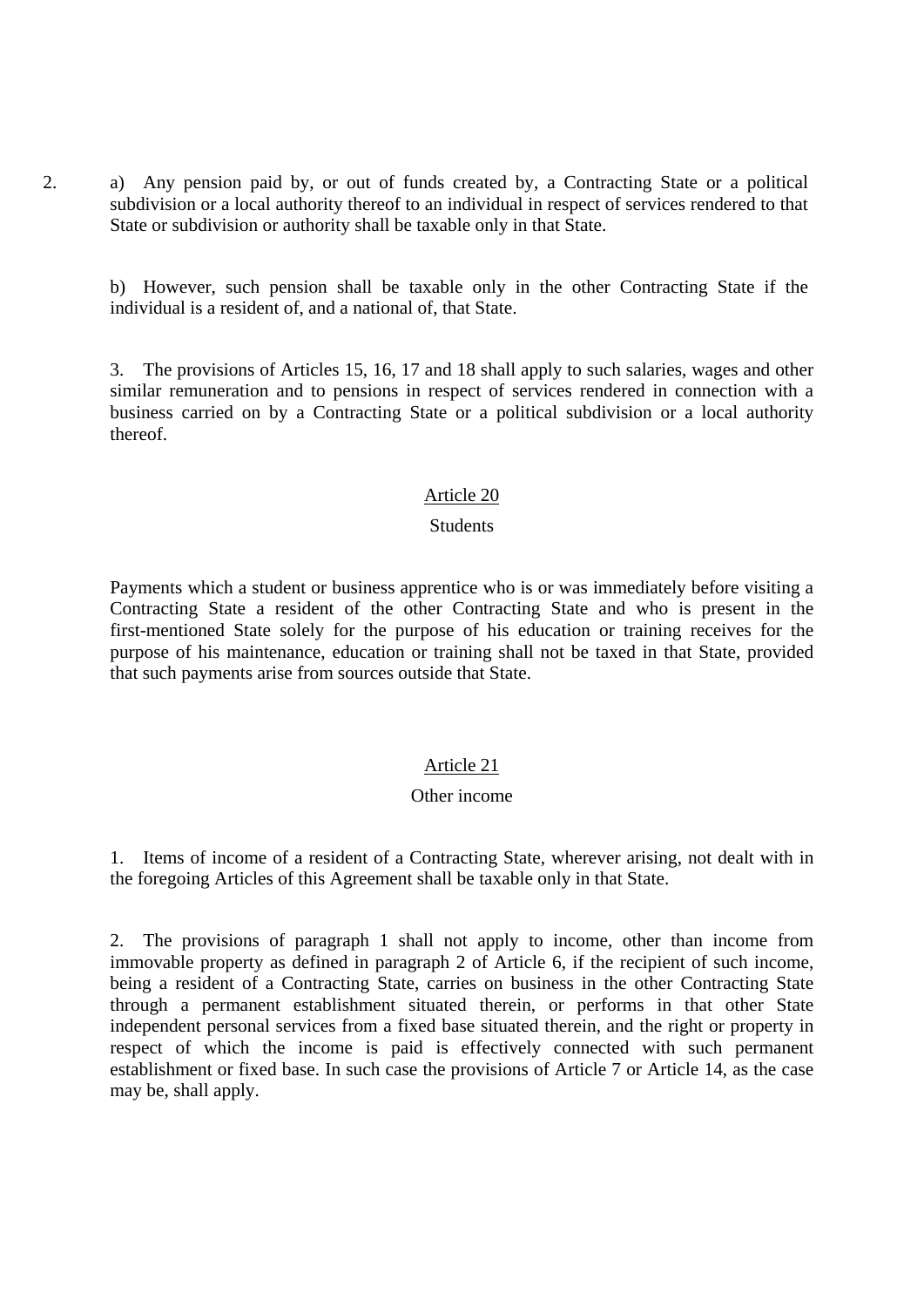2. a) Any pension paid by, or out of funds created by, a Contracting State or a political subdivision or a local authority thereof to an individual in respect of services rendered to that State or subdivision or authority shall be taxable only in that State.

 b) However, such pension shall be taxable only in the other Contracting State if the individual is a resident of, and a national of, that State.

3. The provisions of Articles 15, 16, 17 and 18 shall apply to such salaries, wages and other similar remuneration and to pensions in respect of services rendered in connection with a business carried on by a Contracting State or a political subdivision or a local authority thereof.

#### Article 20

#### **Students**

Payments which a student or business apprentice who is or was immediately before visiting a Contracting State a resident of the other Contracting State and who is present in the first-mentioned State solely for the purpose of his education or training receives for the purpose of his maintenance, education or training shall not be taxed in that State, provided that such payments arise from sources outside that State.

#### Article 21

#### Other income

1. Items of income of a resident of a Contracting State, wherever arising, not dealt with in the foregoing Articles of this Agreement shall be taxable only in that State.

2. The provisions of paragraph 1 shall not apply to income, other than income from immovable property as defined in paragraph 2 of Article 6, if the recipient of such income, being a resident of a Contracting State, carries on business in the other Contracting State through a permanent establishment situated therein, or performs in that other State independent personal services from a fixed base situated therein, and the right or property in respect of which the income is paid is effectively connected with such permanent establishment or fixed base. In such case the provisions of Article 7 or Article 14, as the case may be, shall apply.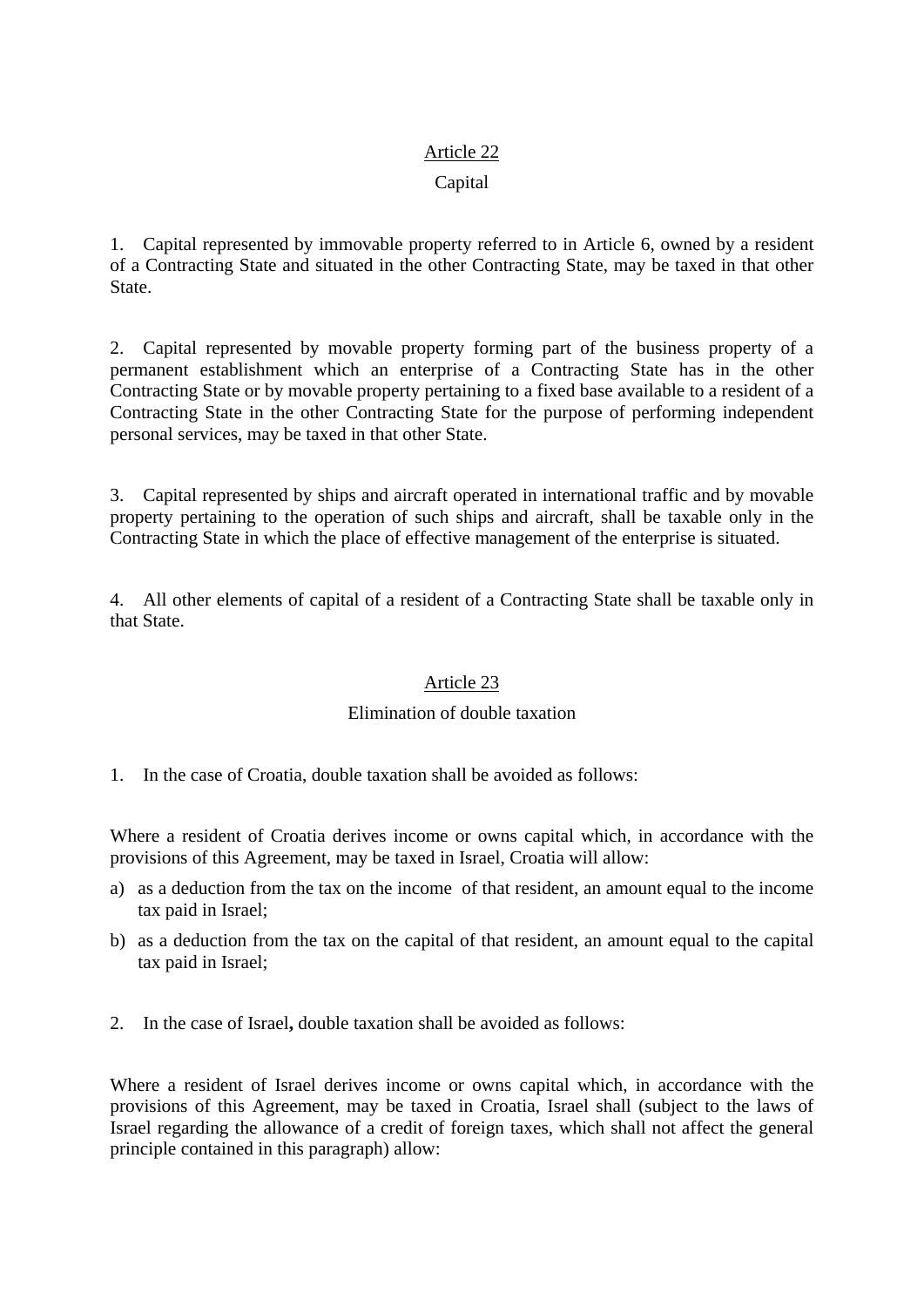# Capital

1. Capital represented by immovable property referred to in Article 6, owned by a resident of a Contracting State and situated in the other Contracting State, may be taxed in that other State.

2. Capital represented by movable property forming part of the business property of a permanent establishment which an enterprise of a Contracting State has in the other Contracting State or by movable property pertaining to a fixed base available to a resident of a Contracting State in the other Contracting State for the purpose of performing independent personal services, may be taxed in that other State.

3. Capital represented by ships and aircraft operated in international traffic and by movable property pertaining to the operation of such ships and aircraft, shall be taxable only in the Contracting State in which the place of effective management of the enterprise is situated.

4. All other elements of capital of a resident of a Contracting State shall be taxable only in that State.

# Article 23

# Elimination of double taxation

1. In the case of Croatia, double taxation shall be avoided as follows:

Where a resident of Croatia derives income or owns capital which, in accordance with the provisions of this Agreement, may be taxed in Israel, Croatia will allow:

- a) as a deduction from the tax on the income of that resident, an amount equal to the income tax paid in Israel;
- b) as a deduction from the tax on the capital of that resident, an amount equal to the capital tax paid in Israel;
- 2. In the case of Israel**,** double taxation shall be avoided as follows:

Where a resident of Israel derives income or owns capital which, in accordance with the provisions of this Agreement, may be taxed in Croatia, Israel shall (subject to the laws of Israel regarding the allowance of a credit of foreign taxes, which shall not affect the general principle contained in this paragraph) allow: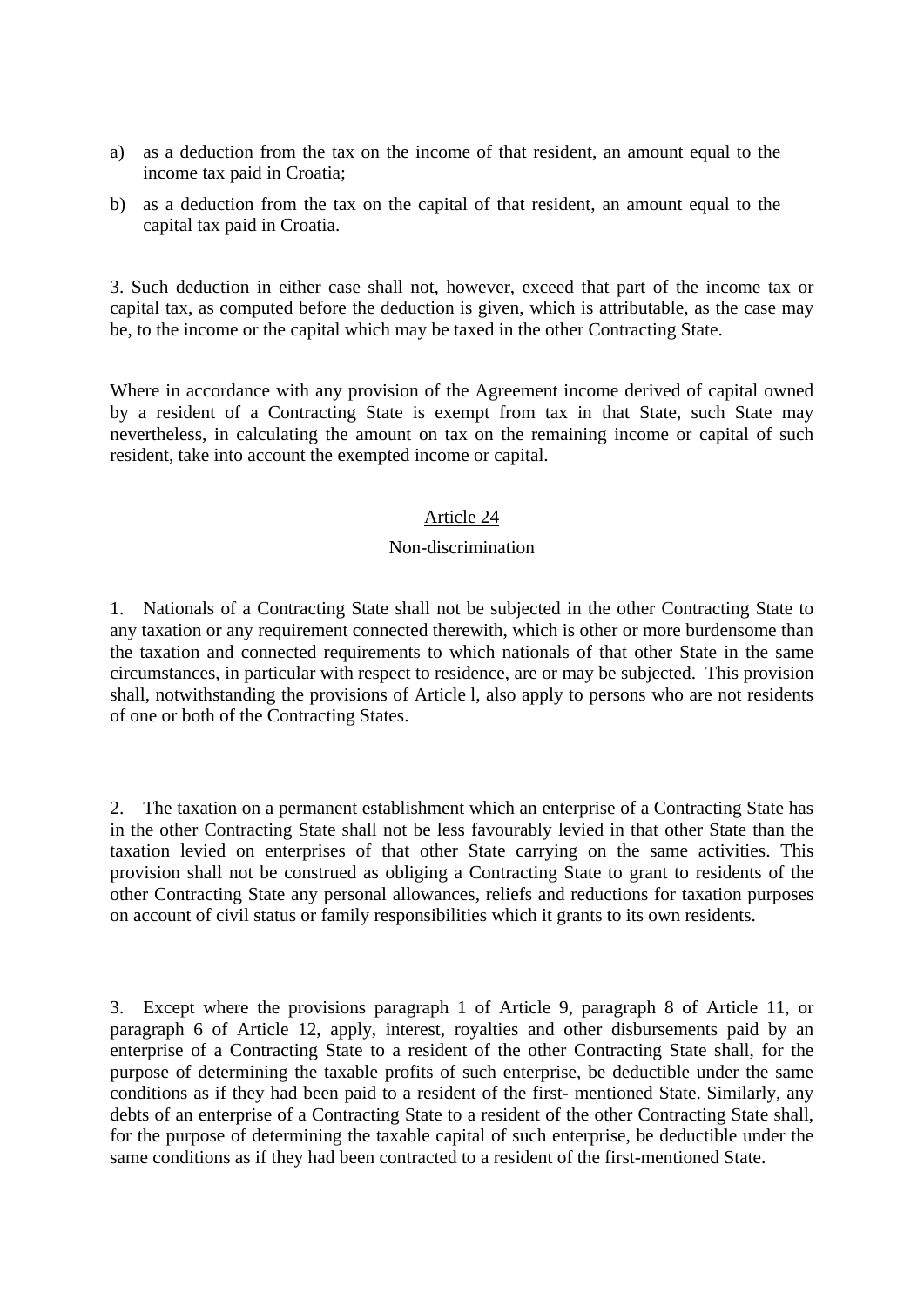- a) as a deduction from the tax on the income of that resident, an amount equal to the income tax paid in Croatia;
- b) as a deduction from the tax on the capital of that resident, an amount equal to the capital tax paid in Croatia.

3. Such deduction in either case shall not, however, exceed that part of the income tax or capital tax, as computed before the deduction is given, which is attributable, as the case may be, to the income or the capital which may be taxed in the other Contracting State.

Where in accordance with any provision of the Agreement income derived of capital owned by a resident of a Contracting State is exempt from tax in that State, such State may nevertheless, in calculating the amount on tax on the remaining income or capital of such resident, take into account the exempted income or capital.

# Article 24

### Non-discrimination

1. Nationals of a Contracting State shall not be subjected in the other Contracting State to any taxation or any requirement connected therewith, which is other or more burdensome than the taxation and connected requirements to which nationals of that other State in the same circumstances, in particular with respect to residence, are or may be subjected. This provision shall, notwithstanding the provisions of Article l, also apply to persons who are not residents of one or both of the Contracting States.

2. The taxation on a permanent establishment which an enterprise of a Contracting State has in the other Contracting State shall not be less favourably levied in that other State than the taxation levied on enterprises of that other State carrying on the same activities. This provision shall not be construed as obliging a Contracting State to grant to residents of the other Contracting State any personal allowances, reliefs and reductions for taxation purposes on account of civil status or family responsibilities which it grants to its own residents.

3. Except where the provisions paragraph 1 of Article 9, paragraph 8 of Article 11, or paragraph 6 of Article 12, apply, interest, royalties and other disbursements paid by an enterprise of a Contracting State to a resident of the other Contracting State shall, for the purpose of determining the taxable profits of such enterprise, be deductible under the same conditions as if they had been paid to a resident of the first- mentioned State. Similarly, any debts of an enterprise of a Contracting State to a resident of the other Contracting State shall, for the purpose of determining the taxable capital of such enterprise, be deductible under the same conditions as if they had been contracted to a resident of the first-mentioned State.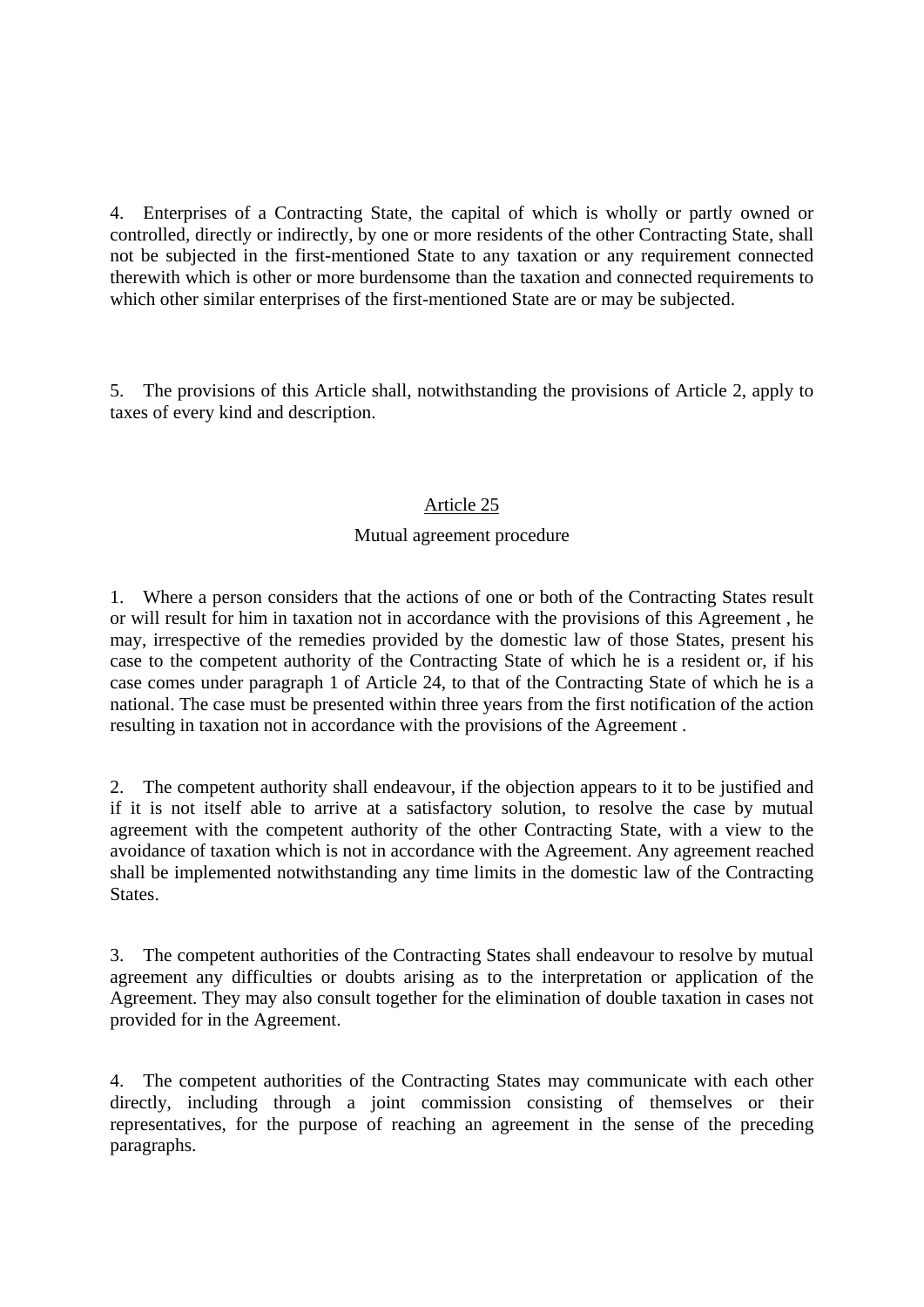4. Enterprises of a Contracting State, the capital of which is wholly or partly owned or controlled, directly or indirectly, by one or more residents of the other Contracting State, shall not be subjected in the first-mentioned State to any taxation or any requirement connected therewith which is other or more burdensome than the taxation and connected requirements to which other similar enterprises of the first-mentioned State are or may be subjected.

5. The provisions of this Article shall, notwithstanding the provisions of Article 2, apply to taxes of every kind and description.

### Article 25

#### Mutual agreement procedure

1. Where a person considers that the actions of one or both of the Contracting States result or will result for him in taxation not in accordance with the provisions of this Agreement , he may, irrespective of the remedies provided by the domestic law of those States, present his case to the competent authority of the Contracting State of which he is a resident or, if his case comes under paragraph 1 of Article 24, to that of the Contracting State of which he is a national. The case must be presented within three years from the first notification of the action resulting in taxation not in accordance with the provisions of the Agreement .

2. The competent authority shall endeavour, if the objection appears to it to be justified and if it is not itself able to arrive at a satisfactory solution, to resolve the case by mutual agreement with the competent authority of the other Contracting State, with a view to the avoidance of taxation which is not in accordance with the Agreement. Any agreement reached shall be implemented notwithstanding any time limits in the domestic law of the Contracting States.

3. The competent authorities of the Contracting States shall endeavour to resolve by mutual agreement any difficulties or doubts arising as to the interpretation or application of the Agreement. They may also consult together for the elimination of double taxation in cases not provided for in the Agreement.

4. The competent authorities of the Contracting States may communicate with each other directly, including through a joint commission consisting of themselves or their representatives, for the purpose of reaching an agreement in the sense of the preceding paragraphs.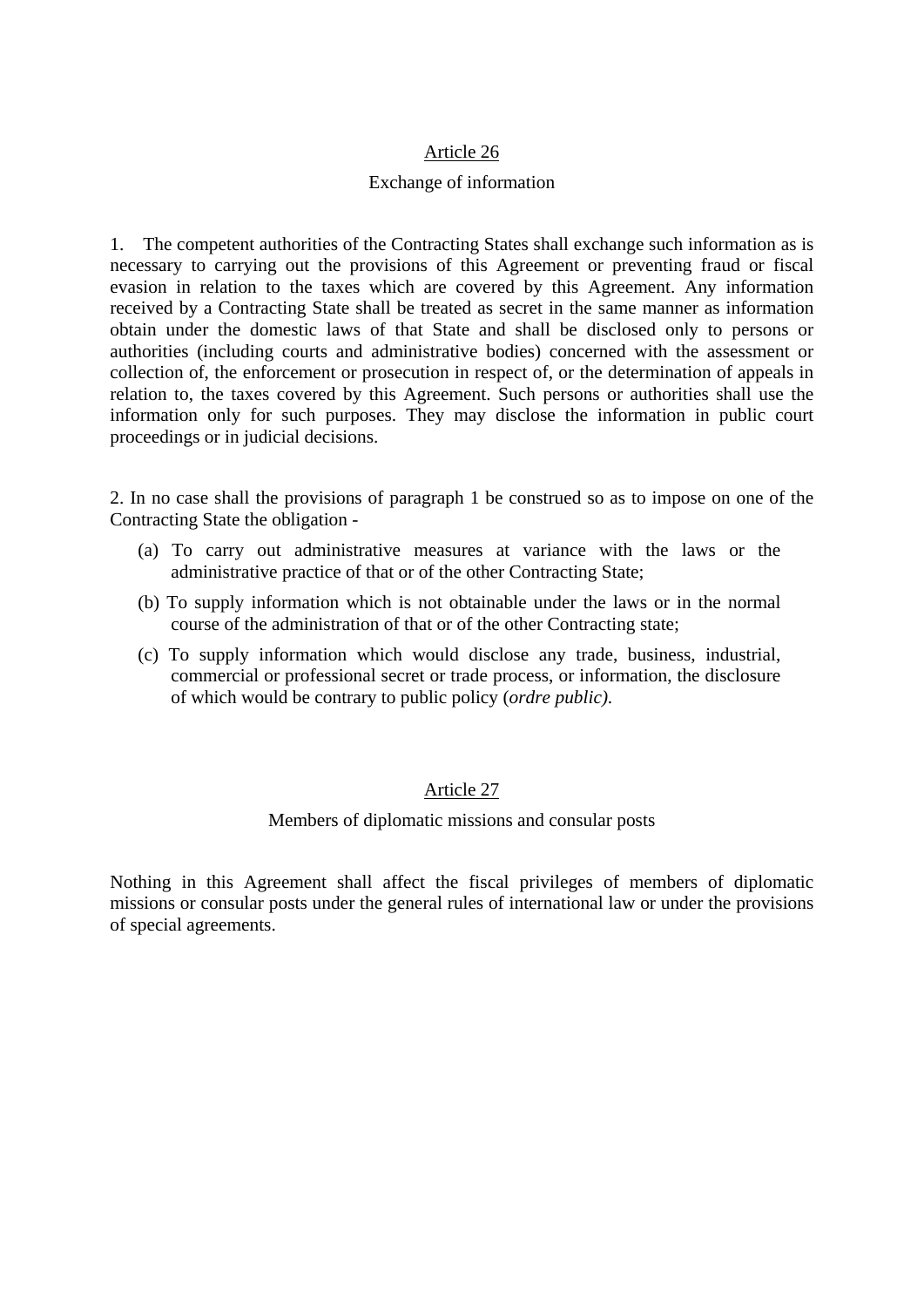### Exchange of information

1. The competent authorities of the Contracting States shall exchange such information as is necessary to carrying out the provisions of this Agreement or preventing fraud or fiscal evasion in relation to the taxes which are covered by this Agreement. Any information received by a Contracting State shall be treated as secret in the same manner as information obtain under the domestic laws of that State and shall be disclosed only to persons or authorities (including courts and administrative bodies) concerned with the assessment or collection of, the enforcement or prosecution in respect of, or the determination of appeals in relation to, the taxes covered by this Agreement. Such persons or authorities shall use the information only for such purposes. They may disclose the information in public court proceedings or in judicial decisions.

2. In no case shall the provisions of paragraph 1 be construed so as to impose on one of the Contracting State the obligation -

- (a) To carry out administrative measures at variance with the laws or the administrative practice of that or of the other Contracting State;
- (b) To supply information which is not obtainable under the laws or in the normal course of the administration of that or of the other Contracting state;
- (c) To supply information which would disclose any trade, business, industrial, commercial or professional secret or trade process, or information, the disclosure of which would be contrary to public policy (*ordre public)*.

### Article 27

### Members of diplomatic missions and consular posts

Nothing in this Agreement shall affect the fiscal privileges of members of diplomatic missions or consular posts under the general rules of international law or under the provisions of special agreements.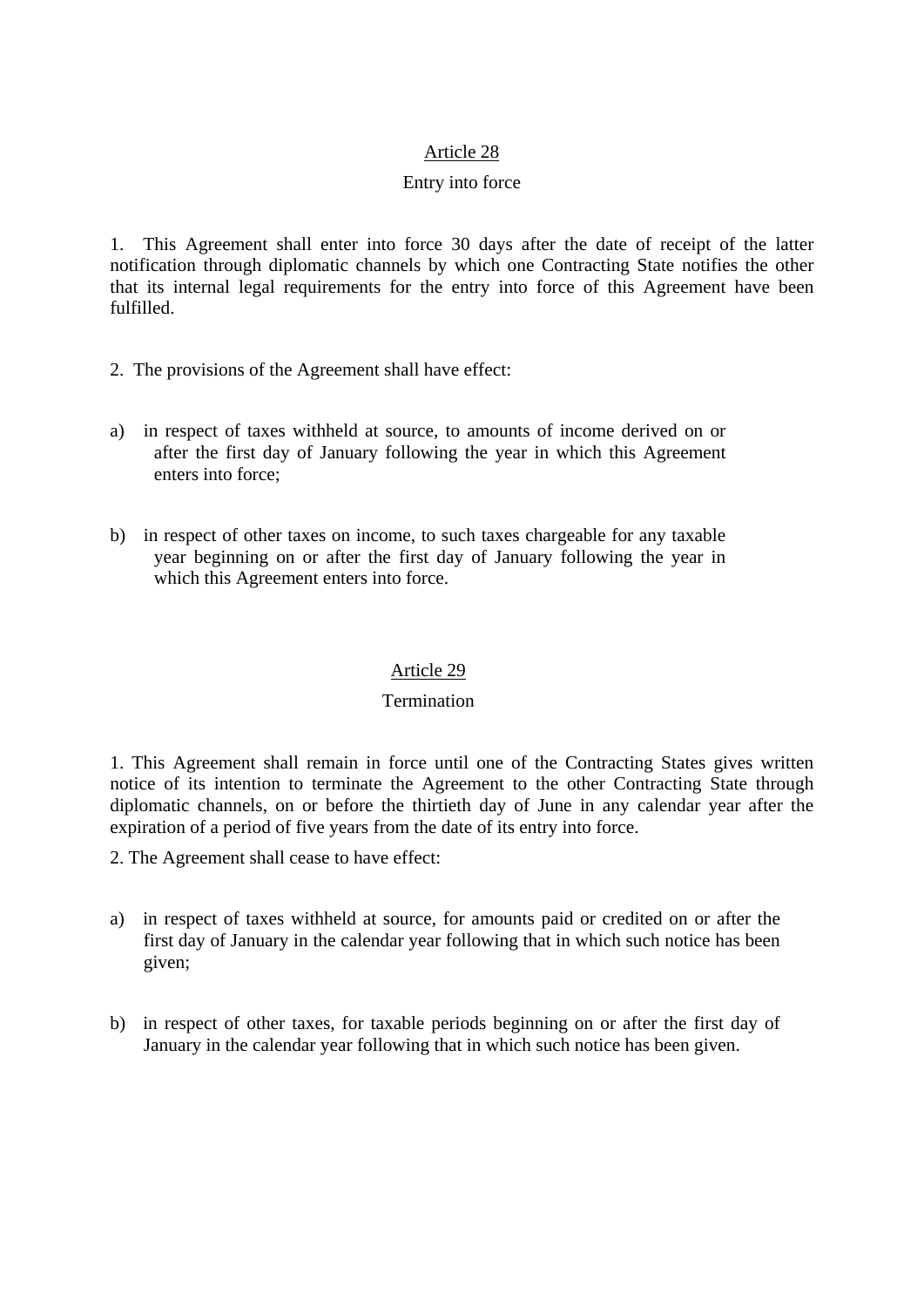# Entry into force

1. This Agreement shall enter into force 30 days after the date of receipt of the latter notification through diplomatic channels by which one Contracting State notifies the other that its internal legal requirements for the entry into force of this Agreement have been fulfilled.

- 2. The provisions of the Agreement shall have effect:
- a) in respect of taxes withheld at source, to amounts of income derived on or after the first day of January following the year in which this Agreement enters into force;
- b) in respect of other taxes on income, to such taxes chargeable for any taxable year beginning on or after the first day of January following the year in which this Agreement enters into force.

### Article 29

### **Termination**

1. This Agreement shall remain in force until one of the Contracting States gives written notice of its intention to terminate the Agreement to the other Contracting State through diplomatic channels, on or before the thirtieth day of June in any calendar year after the expiration of a period of five years from the date of its entry into force.

- 2. The Agreement shall cease to have effect:
- a) in respect of taxes withheld at source, for amounts paid or credited on or after the first day of January in the calendar year following that in which such notice has been given;
- b) in respect of other taxes, for taxable periods beginning on or after the first day of January in the calendar year following that in which such notice has been given.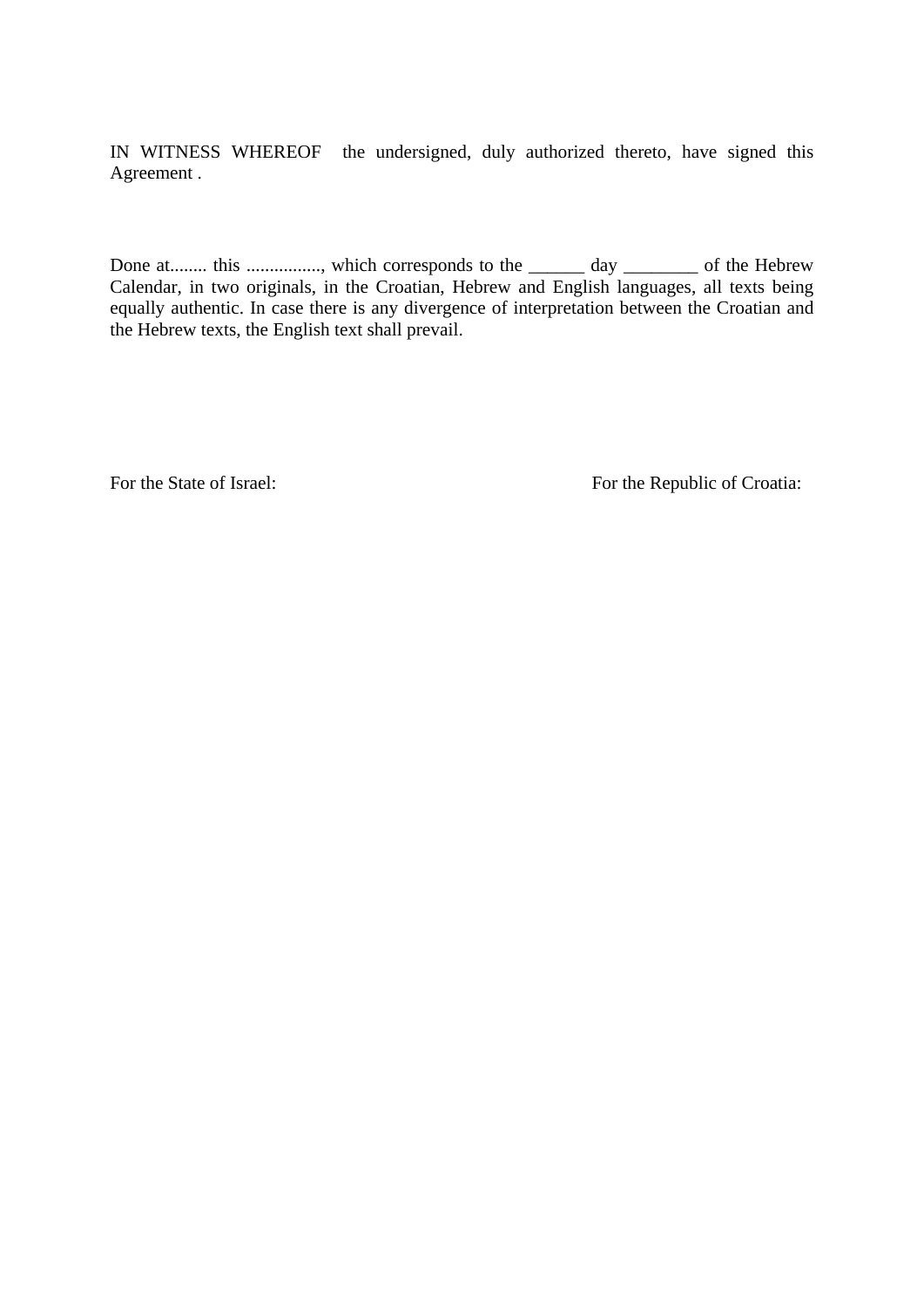IN WITNESS WHEREOF the undersigned, duly authorized thereto, have signed this Agreement .

Done at......... this ................, which corresponds to the \_\_\_\_\_\_\_ day \_\_\_\_\_\_\_\_ of the Hebrew Calendar, in two originals, in the Croatian, Hebrew and English languages, all texts being equally authentic. In case there is any divergence of interpretation between the Croatian and the Hebrew texts, the English text shall prevail.

For the State of Israel: For the Republic of Croatia: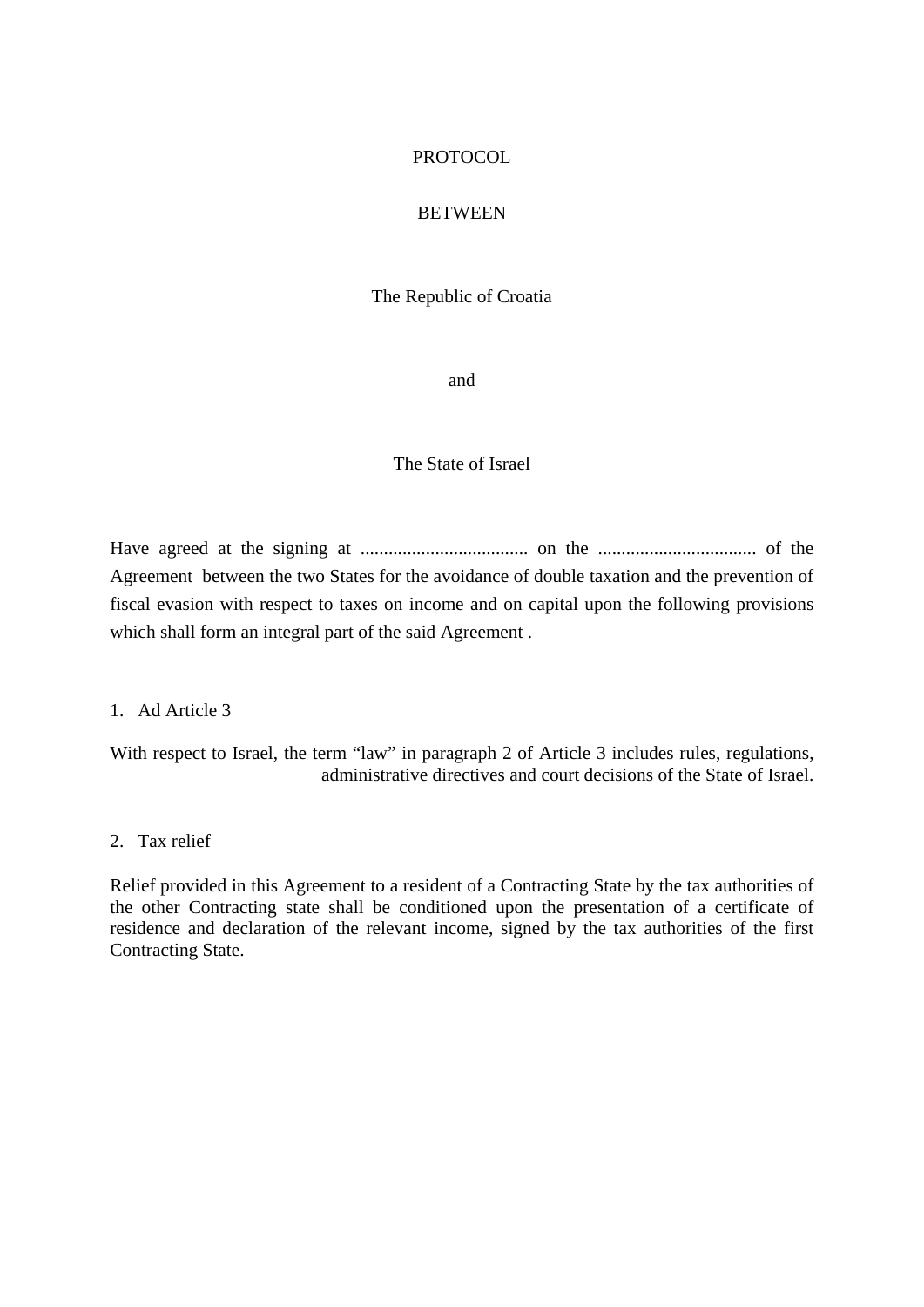# PROTOCOL

# BETWEEN

# The Republic of Croatia

and

The State of Israel

Have agreed at the signing at .................................... on the .................................. of the Agreement between the two States for the avoidance of double taxation and the prevention of fiscal evasion with respect to taxes on income and on capital upon the following provisions which shall form an integral part of the said Agreement .

### 1. Ad Article 3

With respect to Israel, the term "law" in paragraph 2 of Article 3 includes rules, regulations, administrative directives and court decisions of the State of Israel.

### 2. Tax relief

Relief provided in this Agreement to a resident of a Contracting State by the tax authorities of the other Contracting state shall be conditioned upon the presentation of a certificate of residence and declaration of the relevant income, signed by the tax authorities of the first Contracting State.